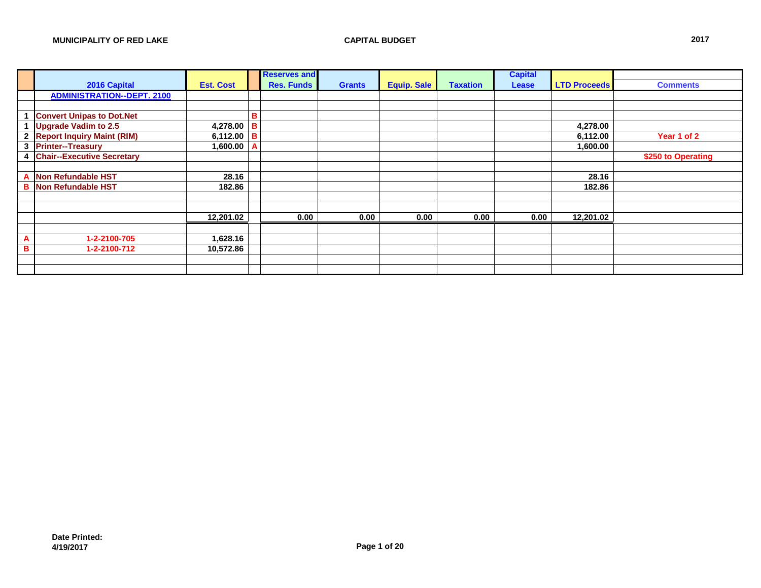|                | 2016 Capital                      | <b>Est. Cost</b> | <b>Reserves and</b><br><b>Res. Funds</b> | <b>Grants</b> | <b>Equip. Sale</b> | <b>Taxation</b> | <b>Capital</b><br>Lease | <b>LTD Proceeds</b> | <b>Comments</b>    |
|----------------|-----------------------------------|------------------|------------------------------------------|---------------|--------------------|-----------------|-------------------------|---------------------|--------------------|
|                | <b>ADMINISTRATION--DEPT. 2100</b> |                  |                                          |               |                    |                 |                         |                     |                    |
|                |                                   |                  |                                          |               |                    |                 |                         |                     |                    |
|                | <b>Convert Unipas to Dot. Net</b> |                  | в                                        |               |                    |                 |                         |                     |                    |
|                | <b>Upgrade Vadim to 2.5</b>       | 4,278.00 B       |                                          |               |                    |                 |                         | 4,278.00            |                    |
|                | 2 Report Inquiry Maint (RIM)      | 6,112.00 B       |                                          |               |                    |                 |                         | 6,112.00            | Year 1 of 2        |
|                | 3 Printer--Treasury               | 1,600.00   A     |                                          |               |                    |                 |                         | 1,600.00            |                    |
| 4              | <b>Chair--Executive Secretary</b> |                  |                                          |               |                    |                 |                         |                     | \$250 to Operating |
|                |                                   |                  |                                          |               |                    |                 |                         |                     |                    |
| A              | Non Refundable HST                | 28.16            |                                          |               |                    |                 |                         | 28.16               |                    |
| в              | <b>Non Refundable HST</b>         | 182.86           |                                          |               |                    |                 |                         | 182.86              |                    |
|                |                                   |                  |                                          |               |                    |                 |                         |                     |                    |
|                |                                   |                  |                                          |               |                    |                 |                         |                     |                    |
|                |                                   | 12,201.02        | 0.00                                     | 0.00          | 0.00               | 0.00            | 0.00                    | 12,201.02           |                    |
|                |                                   |                  |                                          |               |                    |                 |                         |                     |                    |
| $\overline{A}$ | 1-2-2100-705                      | 1,628.16         |                                          |               |                    |                 |                         |                     |                    |
| B              | 1-2-2100-712                      | 10,572.86        |                                          |               |                    |                 |                         |                     |                    |
|                |                                   |                  |                                          |               |                    |                 |                         |                     |                    |
|                |                                   |                  |                                          |               |                    |                 |                         |                     |                    |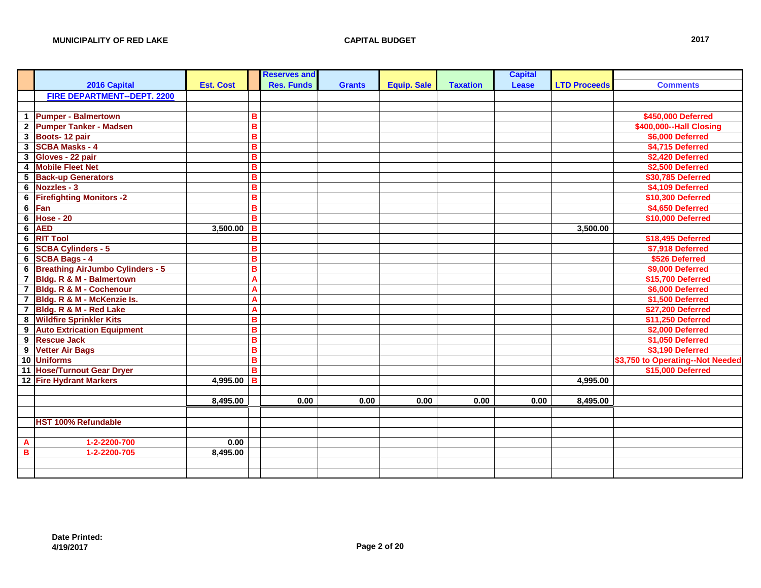|              |                                         |                  |           | <b>Reserves and</b> |               |                    |                 | <b>Capital</b> |                     |                                  |
|--------------|-----------------------------------------|------------------|-----------|---------------------|---------------|--------------------|-----------------|----------------|---------------------|----------------------------------|
|              | 2016 Capital                            | <b>Est. Cost</b> |           | <b>Res. Funds</b>   | <b>Grants</b> | <b>Equip. Sale</b> | <b>Taxation</b> | Lease          | <b>LTD Proceeds</b> | <b>Comments</b>                  |
|              | <b>FIRE DEPARTMENT--DEPT. 2200</b>      |                  |           |                     |               |                    |                 |                |                     |                                  |
|              |                                         |                  |           |                     |               |                    |                 |                |                     |                                  |
| $\mathbf{1}$ | <b>Pumper - Balmertown</b>              |                  | в         |                     |               |                    |                 |                |                     | \$450,000 Deferred               |
| $\mathbf{2}$ | <b>Pumper Tanker - Madsen</b>           |                  | в         |                     |               |                    |                 |                |                     | \$400,000 -- Hall Closing        |
| 3            | Boots-12 pair                           |                  | B         |                     |               |                    |                 |                |                     | \$6,000 Deferred                 |
| 3            | <b>SCBA Masks - 4</b>                   |                  | в         |                     |               |                    |                 |                |                     | \$4,715 Deferred                 |
| 3            | Gloves - 22 pair                        |                  | B         |                     |               |                    |                 |                |                     | \$2,420 Deferred                 |
|              | 4 Mobile Fleet Net                      |                  | B         |                     |               |                    |                 |                |                     | \$2,500 Deferred                 |
|              | 5 Back-up Generators                    |                  | в         |                     |               |                    |                 |                |                     | \$30,785 Deferred                |
| 6            | Nozzles - 3                             |                  | B         |                     |               |                    |                 |                |                     | \$4,109 Deferred                 |
| 6            | <b>Firefighting Monitors -2</b>         |                  | B         |                     |               |                    |                 |                |                     | \$10,300 Deferred                |
| 6            | Fan                                     |                  | B         |                     |               |                    |                 |                |                     | \$4,650 Deferred                 |
| 6            | <b>Hose - 20</b>                        |                  | B         |                     |               |                    |                 |                |                     | \$10,000 Deferred                |
| 6            | <b>AED</b>                              | 3,500.00         | $\vert$ B |                     |               |                    |                 |                | 3,500.00            |                                  |
| 6            | <b>RIT Tool</b>                         |                  | B         |                     |               |                    |                 |                |                     | \$18,495 Deferred                |
| 6            | <b>SCBA Cylinders - 5</b>               |                  | B         |                     |               |                    |                 |                |                     | \$7,918 Deferred                 |
| 6            | <b>SCBA Bags - 4</b>                    |                  | B         |                     |               |                    |                 |                |                     | \$526 Deferred                   |
| 6            | <b>Breathing AirJumbo Cylinders - 5</b> |                  | в         |                     |               |                    |                 |                |                     | \$9,000 Deferred                 |
|              | 7 Bldg. R & M - Balmertown              |                  | A         |                     |               |                    |                 |                |                     | \$15,700 Deferred                |
|              | 7 Bldg. R & M - Cochenour               |                  | A         |                     |               |                    |                 |                |                     | \$6,000 Deferred                 |
|              | 7 Bldg. R & M - McKenzie Is.            |                  | A         |                     |               |                    |                 |                |                     | \$1,500 Deferred                 |
|              | 7 Bldg. R & M - Red Lake                |                  | A         |                     |               |                    |                 |                |                     | \$27,200 Deferred                |
| 8            | <b>Wildfire Sprinkler Kits</b>          |                  | в         |                     |               |                    |                 |                |                     | \$11,250 Deferred                |
| 9            | <b>Auto Extrication Equipment</b>       |                  | B         |                     |               |                    |                 |                |                     | \$2,000 Deferred                 |
| 9            | <b>Rescue Jack</b>                      |                  | B         |                     |               |                    |                 |                |                     | \$1,050 Deferred                 |
|              | 9 Vetter Air Bags                       |                  | B         |                     |               |                    |                 |                |                     | \$3,190 Deferred                 |
|              | 10 Uniforms                             |                  | B         |                     |               |                    |                 |                |                     | \$3,750 to Operating--Not Needed |
|              | 11 Hose/Turnout Gear Dryer              |                  | B         |                     |               |                    |                 |                |                     | \$15,000 Deferred                |
|              | 12 Fire Hydrant Markers                 | 4,995.00         | B         |                     |               |                    |                 |                | 4,995.00            |                                  |
|              |                                         |                  |           |                     |               |                    |                 |                |                     |                                  |
|              |                                         | 8,495.00         |           | 0.00                | 0.00          | 0.00               | 0.00            | 0.00           | 8,495.00            |                                  |
|              |                                         |                  |           |                     |               |                    |                 |                |                     |                                  |
|              | <b>HST 100% Refundable</b>              |                  |           |                     |               |                    |                 |                |                     |                                  |
|              |                                         |                  |           |                     |               |                    |                 |                |                     |                                  |
| $\mathbf{A}$ | 1-2-2200-700                            | 0.00             |           |                     |               |                    |                 |                |                     |                                  |
| B            | 1-2-2200-705                            | 8,495.00         |           |                     |               |                    |                 |                |                     |                                  |
|              |                                         |                  |           |                     |               |                    |                 |                |                     |                                  |
|              |                                         |                  |           |                     |               |                    |                 |                |                     |                                  |
|              |                                         |                  |           |                     |               |                    |                 |                |                     |                                  |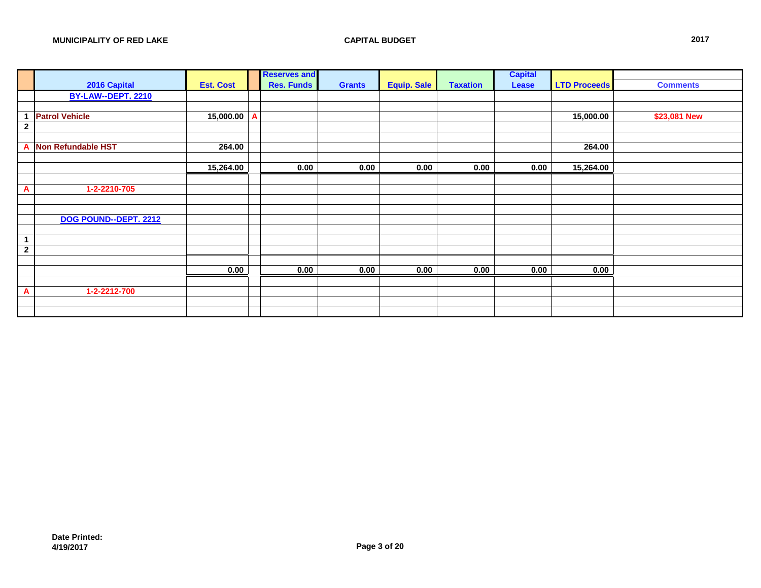|                |                           |                  | <b>Reserves and</b> |               |                    |                 | <b>Capital</b> |                     |                 |
|----------------|---------------------------|------------------|---------------------|---------------|--------------------|-----------------|----------------|---------------------|-----------------|
|                | 2016 Capital              | <b>Est. Cost</b> | <b>Res. Funds</b>   | <b>Grants</b> | <b>Equip. Sale</b> | <b>Taxation</b> | Lease          | <b>LTD Proceeds</b> | <b>Comments</b> |
|                | BY-LAW--DEPT. 2210        |                  |                     |               |                    |                 |                |                     |                 |
|                |                           |                  |                     |               |                    |                 |                |                     |                 |
|                | <b>Patrol Vehicle</b>     | $15,000.00$ A    |                     |               |                    |                 |                | 15,000.00           | \$23,081 New    |
| $\overline{2}$ |                           |                  |                     |               |                    |                 |                |                     |                 |
|                |                           |                  |                     |               |                    |                 |                |                     |                 |
| A              | <b>Non Refundable HST</b> | 264.00           |                     |               |                    |                 |                | 264.00              |                 |
|                |                           |                  |                     |               |                    |                 |                |                     |                 |
|                |                           | 15,264.00        | 0.00                | 0.00          | 0.00               | 0.00            | 0.00           | 15,264.00           |                 |
|                |                           |                  |                     |               |                    |                 |                |                     |                 |
| A              | 1-2-2210-705              |                  |                     |               |                    |                 |                |                     |                 |
|                |                           |                  |                     |               |                    |                 |                |                     |                 |
|                |                           |                  |                     |               |                    |                 |                |                     |                 |
|                | DOG POUND--DEPT. 2212     |                  |                     |               |                    |                 |                |                     |                 |
|                |                           |                  |                     |               |                    |                 |                |                     |                 |
|                |                           |                  |                     |               |                    |                 |                |                     |                 |
| $\overline{2}$ |                           |                  |                     |               |                    |                 |                |                     |                 |
|                |                           |                  |                     |               |                    |                 |                |                     |                 |
|                |                           | 0.00             | 0.00                | 0.00          | 0.00               | 0.00            | 0.00           | 0.00                |                 |
|                |                           |                  |                     |               |                    |                 |                |                     |                 |
| A              | 1-2-2212-700              |                  |                     |               |                    |                 |                |                     |                 |
|                |                           |                  |                     |               |                    |                 |                |                     |                 |
|                |                           |                  |                     |               |                    |                 |                |                     |                 |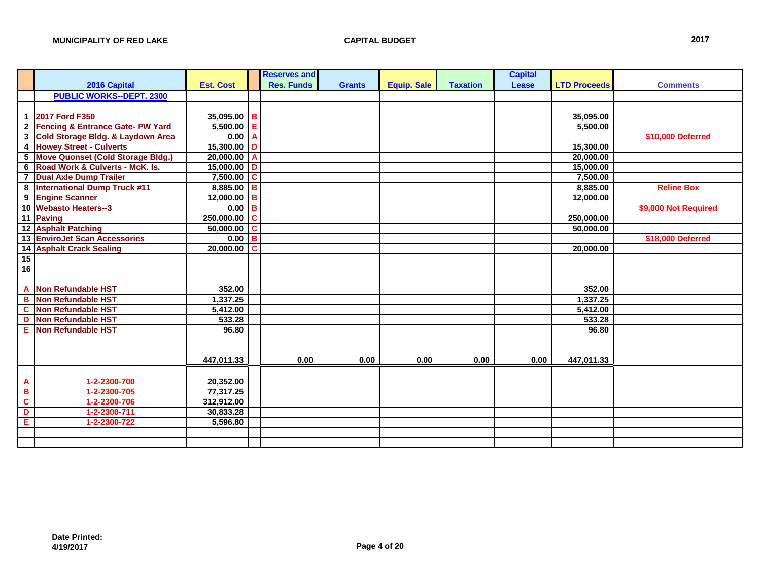|                         |                                      |                  |   | <b>Reserves and</b> |               |                    |                 | <b>Capital</b> |                     |                      |
|-------------------------|--------------------------------------|------------------|---|---------------------|---------------|--------------------|-----------------|----------------|---------------------|----------------------|
|                         | 2016 Capital                         | <b>Est. Cost</b> |   | <b>Res. Funds</b>   | <b>Grants</b> | <b>Equip. Sale</b> | <b>Taxation</b> | Lease          | <b>LTD Proceeds</b> | <b>Comments</b>      |
|                         | <b>PUBLIC WORKS--DEPT. 2300</b>      |                  |   |                     |               |                    |                 |                |                     |                      |
|                         |                                      |                  |   |                     |               |                    |                 |                |                     |                      |
|                         | 1 2017 Ford F350                     | 35,095.00 B      |   |                     |               |                    |                 |                | 35,095.00           |                      |
|                         | 2 Fencing & Entrance Gate- PW Yard   | $5,500.00$ E     |   |                     |               |                    |                 |                | 5,500.00            |                      |
| $\overline{\mathbf{3}}$ | Cold Storage Bldg. & Laydown Area    | 0.00 A           |   |                     |               |                    |                 |                |                     | \$10,000 Deferred    |
|                         | 4 Howey Street - Culverts            | $15,300.00$ D    |   |                     |               |                    |                 |                | 15.300.00           |                      |
|                         | 5 Move Quonset (Cold Storage Bldg.)  | 20,000.00 A      |   |                     |               |                    |                 |                | 20,000.00           |                      |
|                         | 6 Road Work & Culverts - McK. Is.    | 15,000.00 D      |   |                     |               |                    |                 |                | 15,000.00           |                      |
| $\overline{7}$          | <b>Dual Axle Dump Trailer</b>        | $7,500.00$ C     |   |                     |               |                    |                 |                | 7,500.00            |                      |
| 8                       | <b>International Dump Truck #11</b>  | 8,885.00 B       |   |                     |               |                    |                 |                | 8,885.00            | <b>Reline Box</b>    |
| $\boldsymbol{9}$        | <b>Engine Scanner</b>                | $12,000.00$ B    |   |                     |               |                    |                 |                | 12,000.00           |                      |
|                         | 10 Webasto Heaters--3                | $0.00$ B         |   |                     |               |                    |                 |                |                     | \$9,000 Not Required |
|                         | 11 Paving                            | 250,000.00 C     |   |                     |               |                    |                 |                | 250,000.00          |                      |
|                         | 12 Asphalt Patching                  | $50,000.00$ C    |   |                     |               |                    |                 |                | 50,000.00           |                      |
|                         | <b>13 EnviroJet Scan Accessories</b> | $0.00$ B         |   |                     |               |                    |                 |                |                     | \$18,000 Deferred    |
| $\overline{14}$         | <b>Asphalt Crack Sealing</b>         | 20,000.00        | C |                     |               |                    |                 |                | 20,000.00           |                      |
| 15                      |                                      |                  |   |                     |               |                    |                 |                |                     |                      |
| 16                      |                                      |                  |   |                     |               |                    |                 |                |                     |                      |
|                         |                                      |                  |   |                     |               |                    |                 |                |                     |                      |
| A                       | <b>Non Refundable HST</b>            | 352.00           |   |                     |               |                    |                 |                | 352.00              |                      |
| B                       | <b>Non Refundable HST</b>            | 1,337.25         |   |                     |               |                    |                 |                | 1,337.25            |                      |
| $\mathbf c$             | <b>Non Refundable HST</b>            | 5,412.00         |   |                     |               |                    |                 |                | 5,412.00            |                      |
| D                       | <b>Non Refundable HST</b>            | 533.28           |   |                     |               |                    |                 |                | 533.28              |                      |
| Е                       | <b>Non Refundable HST</b>            | 96.80            |   |                     |               |                    |                 |                | 96.80               |                      |
|                         |                                      |                  |   |                     |               |                    |                 |                |                     |                      |
|                         |                                      |                  |   |                     |               |                    |                 |                |                     |                      |
|                         |                                      | 447,011.33       |   | 0.00                | 0.00          | 0.00               | 0.00            | 0.00           | 447,011.33          |                      |
|                         |                                      |                  |   |                     |               |                    |                 |                |                     |                      |
| $\mathbf{A}$            | 1-2-2300-700                         | 20,352.00        |   |                     |               |                    |                 |                |                     |                      |
| $\overline{B}$          | 1-2-2300-705                         | 77,317.25        |   |                     |               |                    |                 |                |                     |                      |
| $\overline{\mathbf{c}}$ | 1-2-2300-706                         | 312,912.00       |   |                     |               |                    |                 |                |                     |                      |
| D                       | 1-2-2300-711                         | 30,833.28        |   |                     |               |                    |                 |                |                     |                      |
| Ε                       | 1-2-2300-722                         | 5,596.80         |   |                     |               |                    |                 |                |                     |                      |
|                         |                                      |                  |   |                     |               |                    |                 |                |                     |                      |
|                         |                                      |                  |   |                     |               |                    |                 |                |                     |                      |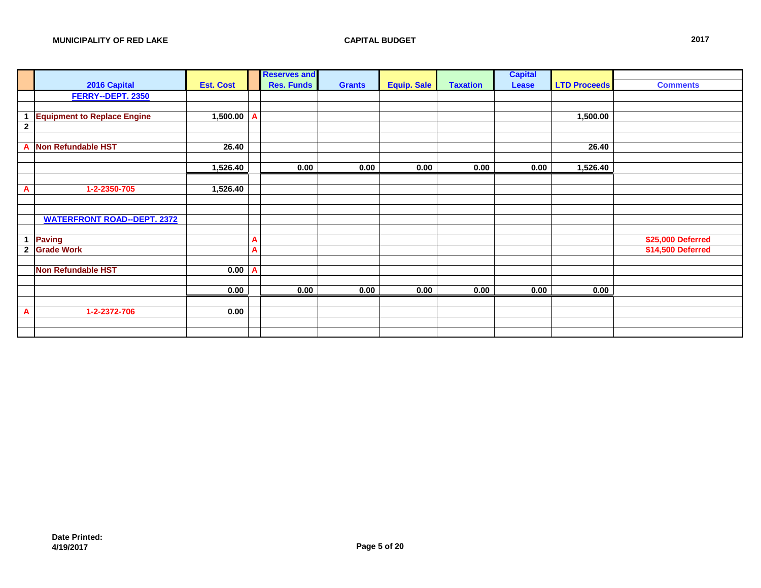|                |                                    |                  |   | <b>Reserves and</b> |               |                    |                 | <b>Capital</b> |                     |                   |
|----------------|------------------------------------|------------------|---|---------------------|---------------|--------------------|-----------------|----------------|---------------------|-------------------|
|                | 2016 Capital                       | <b>Est. Cost</b> |   | <b>Res. Funds</b>   | <b>Grants</b> | <b>Equip. Sale</b> | <b>Taxation</b> | Lease          | <b>LTD Proceeds</b> | <b>Comments</b>   |
|                | FERRY--DEPT. 2350                  |                  |   |                     |               |                    |                 |                |                     |                   |
|                |                                    |                  |   |                     |               |                    |                 |                |                     |                   |
|                | <b>Equipment to Replace Engine</b> | $1,500.00$ A     |   |                     |               |                    |                 |                | 1,500.00            |                   |
| $\overline{2}$ |                                    |                  |   |                     |               |                    |                 |                |                     |                   |
|                |                                    |                  |   |                     |               |                    |                 |                |                     |                   |
| A              | <b>Non Refundable HST</b>          | 26.40            |   |                     |               |                    |                 |                | 26.40               |                   |
|                |                                    |                  |   |                     |               |                    |                 |                |                     |                   |
|                |                                    | 1,526.40         |   | 0.00                | 0.00          | 0.00               | 0.00            | 0.00           | 1,526.40            |                   |
|                |                                    |                  |   |                     |               |                    |                 |                |                     |                   |
| A              | 1-2-2350-705                       | 1,526.40         |   |                     |               |                    |                 |                |                     |                   |
|                |                                    |                  |   |                     |               |                    |                 |                |                     |                   |
|                |                                    |                  |   |                     |               |                    |                 |                |                     |                   |
|                | <b>WATERFRONT ROAD--DEPT. 2372</b> |                  |   |                     |               |                    |                 |                |                     |                   |
| 1              |                                    |                  |   |                     |               |                    |                 |                |                     |                   |
|                | Paving                             |                  | A |                     |               |                    |                 |                |                     | \$25,000 Deferred |
| $\mathbf{2}$   | <b>Grade Work</b>                  |                  | A |                     |               |                    |                 |                |                     | \$14,500 Deferred |
|                | <b>Non Refundable HST</b>          | 0.00             | A |                     |               |                    |                 |                |                     |                   |
|                |                                    |                  |   |                     |               |                    |                 |                |                     |                   |
|                |                                    | 0.00             |   | 0.00                | 0.00          | 0.00               | 0.00            | 0.00           | 0.00                |                   |
|                |                                    |                  |   |                     |               |                    |                 |                |                     |                   |
| A              | 1-2-2372-706                       | 0.00             |   |                     |               |                    |                 |                |                     |                   |
|                |                                    |                  |   |                     |               |                    |                 |                |                     |                   |
|                |                                    |                  |   |                     |               |                    |                 |                |                     |                   |
|                |                                    |                  |   |                     |               |                    |                 |                |                     |                   |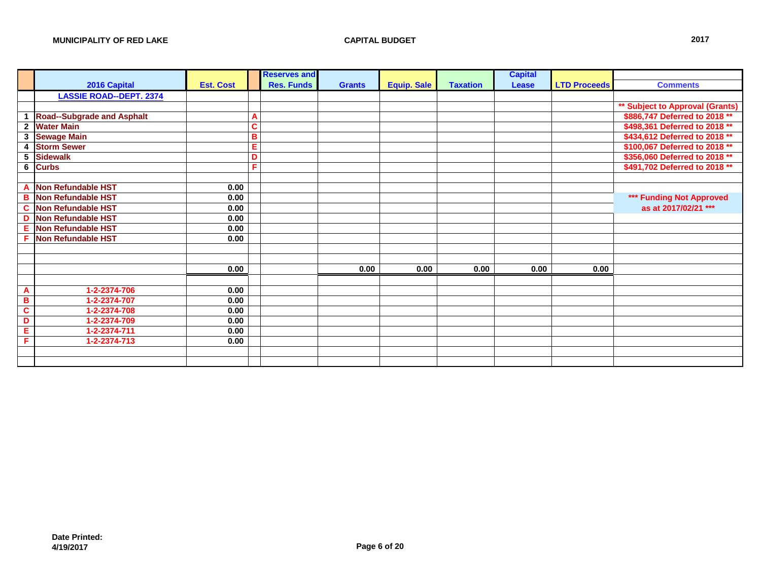|                         |                                   |                  |   | <b>Reserves and</b> |               |                    |                 | <b>Capital</b> |                     |                                 |
|-------------------------|-----------------------------------|------------------|---|---------------------|---------------|--------------------|-----------------|----------------|---------------------|---------------------------------|
|                         | 2016 Capital                      | <b>Est. Cost</b> |   | <b>Res. Funds</b>   | <b>Grants</b> | <b>Equip. Sale</b> | <b>Taxation</b> | <b>Lease</b>   | <b>LTD Proceeds</b> | <b>Comments</b>                 |
|                         | <b>LASSIE ROAD--DEPT. 2374</b>    |                  |   |                     |               |                    |                 |                |                     |                                 |
|                         |                                   |                  |   |                     |               |                    |                 |                |                     | ** Subject to Approval (Grants) |
| $\mathbf{1}$            | <b>Road--Subgrade and Asphalt</b> |                  | A |                     |               |                    |                 |                |                     | \$886,747 Deferred to 2018 **   |
| $\mathbf{2}$            | <b>Water Main</b>                 |                  | C |                     |               |                    |                 |                |                     | \$498,361 Deferred to 2018 **   |
|                         | 3 Sewage Main                     |                  | B |                     |               |                    |                 |                |                     | \$434,612 Deferred to 2018 **   |
| $\overline{\mathbf{4}}$ | <b>Storm Sewer</b>                |                  | E |                     |               |                    |                 |                |                     | \$100,067 Deferred to 2018 **   |
| 5                       | Sidewalk                          |                  | D |                     |               |                    |                 |                |                     | \$356,060 Deferred to 2018 **   |
| 6                       | <b>Curbs</b>                      |                  | F |                     |               |                    |                 |                |                     | \$491,702 Deferred to 2018 **   |
|                         |                                   |                  |   |                     |               |                    |                 |                |                     |                                 |
| A                       | <b>Non Refundable HST</b>         | 0.00             |   |                     |               |                    |                 |                |                     |                                 |
| B                       | <b>Non Refundable HST</b>         | 0.00             |   |                     |               |                    |                 |                |                     | *** Funding Not Approved        |
| C                       | <b>Non Refundable HST</b>         | 0.00             |   |                     |               |                    |                 |                |                     | as at 2017/02/21 ***            |
| D                       | <b>Non Refundable HST</b>         | 0.00             |   |                     |               |                    |                 |                |                     |                                 |
| Е                       | Non Refundable HST                | 0.00             |   |                     |               |                    |                 |                |                     |                                 |
|                         | <b>Non Refundable HST</b>         | 0.00             |   |                     |               |                    |                 |                |                     |                                 |
|                         |                                   |                  |   |                     |               |                    |                 |                |                     |                                 |
|                         |                                   |                  |   |                     |               |                    |                 |                |                     |                                 |
|                         |                                   | 0.00             |   |                     | 0.00          | 0.00               | 0.00            | 0.00           | 0.00                |                                 |
|                         |                                   |                  |   |                     |               |                    |                 |                |                     |                                 |
| A                       | 1-2-2374-706                      | 0.00             |   |                     |               |                    |                 |                |                     |                                 |
| B                       | 1-2-2374-707                      | 0.00             |   |                     |               |                    |                 |                |                     |                                 |
| $\mathbf c$             | 1-2-2374-708                      | 0.00             |   |                     |               |                    |                 |                |                     |                                 |
| D                       | 1-2-2374-709                      | 0.00             |   |                     |               |                    |                 |                |                     |                                 |
| Ε                       | 1-2-2374-711                      | 0.00             |   |                     |               |                    |                 |                |                     |                                 |
| F.                      | 1-2-2374-713                      | 0.00             |   |                     |               |                    |                 |                |                     |                                 |
|                         |                                   |                  |   |                     |               |                    |                 |                |                     |                                 |
|                         |                                   |                  |   |                     |               |                    |                 |                |                     |                                 |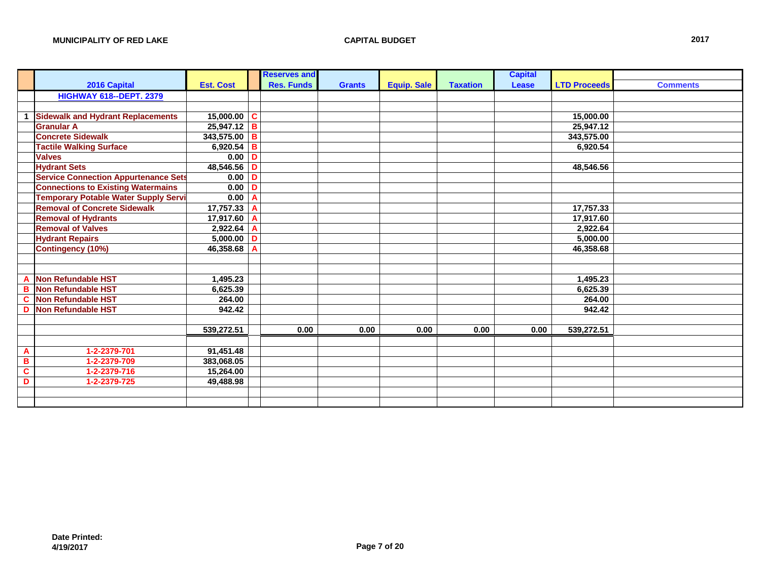|                         |                                             |                  |              | <b>Reserves and</b> |               |                    |                 | <b>Capital</b> |                     |                 |
|-------------------------|---------------------------------------------|------------------|--------------|---------------------|---------------|--------------------|-----------------|----------------|---------------------|-----------------|
|                         | 2016 Capital                                | <b>Est. Cost</b> |              | <b>Res. Funds</b>   | <b>Grants</b> | <b>Equip. Sale</b> | <b>Taxation</b> | Lease          | <b>LTD Proceeds</b> | <b>Comments</b> |
|                         | <b>HIGHWAY 618--DEPT. 2379</b>              |                  |              |                     |               |                    |                 |                |                     |                 |
|                         |                                             |                  |              |                     |               |                    |                 |                |                     |                 |
| 1                       | <b>Sidewalk and Hydrant Replacements</b>    | $15,000.00$ C    |              |                     |               |                    |                 |                | 15.000.00           |                 |
|                         | <b>Granular A</b>                           | $25,947.12$ B    |              |                     |               |                    |                 |                | 25,947.12           |                 |
|                         | <b>Concrete Sidewalk</b>                    | 343,575.00 B     |              |                     |               |                    |                 |                | 343,575.00          |                 |
|                         | <b>Tactile Walking Surface</b>              | 6,920.54 B       |              |                     |               |                    |                 |                | 6,920.54            |                 |
|                         | <b>Valves</b>                               | $0.00$ D         |              |                     |               |                    |                 |                |                     |                 |
|                         | <b>Hydrant Sets</b>                         | 48,546.56 D      |              |                     |               |                    |                 |                | 48,546.56           |                 |
|                         | <b>Service Connection Appurtenance Sets</b> | $0.00$ D         |              |                     |               |                    |                 |                |                     |                 |
|                         | <b>Connections to Existing Watermains</b>   | $0.00$ D         |              |                     |               |                    |                 |                |                     |                 |
|                         | <b>Temporary Potable Water Supply Servi</b> | 0.00             | $\mathbf{A}$ |                     |               |                    |                 |                |                     |                 |
|                         | <b>Removal of Concrete Sidewalk</b>         | 17,757.33        | $\mathbf{A}$ |                     |               |                    |                 |                | 17,757.33           |                 |
|                         | <b>Removal of Hydrants</b>                  | 17,917.60 A      |              |                     |               |                    |                 |                | 17,917.60           |                 |
|                         | <b>Removal of Valves</b>                    | $2,922.64$ A     |              |                     |               |                    |                 |                | 2,922.64            |                 |
|                         | <b>Hydrant Repairs</b>                      | 5,000.00 D       |              |                     |               |                    |                 |                | 5,000.00            |                 |
|                         | <b>Contingency (10%)</b>                    | 46,358.68 A      |              |                     |               |                    |                 |                | 46,358.68           |                 |
|                         |                                             |                  |              |                     |               |                    |                 |                |                     |                 |
|                         |                                             |                  |              |                     |               |                    |                 |                |                     |                 |
| A                       | <b>Non Refundable HST</b>                   | 1,495.23         |              |                     |               |                    |                 |                | 1,495.23            |                 |
| B                       | <b>Non Refundable HST</b>                   | 6,625.39         |              |                     |               |                    |                 |                | 6,625.39            |                 |
| $\overline{\mathbf{c}}$ | <b>Non Refundable HST</b>                   | 264.00           |              |                     |               |                    |                 |                | 264.00              |                 |
| D                       | <b>Non Refundable HST</b>                   | 942.42           |              |                     |               |                    |                 |                | 942.42              |                 |
|                         |                                             |                  |              |                     |               |                    |                 |                |                     |                 |
|                         |                                             | 539,272.51       |              | 0.00                | 0.00          | 0.00               | 0.00            | 0.00           | 539,272.51          |                 |
|                         |                                             |                  |              |                     |               |                    |                 |                |                     |                 |
| $\mathbf{A}$            | 1-2-2379-701                                | 91,451.48        |              |                     |               |                    |                 |                |                     |                 |
| B                       | 1-2-2379-709                                | 383,068.05       |              |                     |               |                    |                 |                |                     |                 |
| $\overline{\mathbf{c}}$ | 1-2-2379-716                                | 15,264.00        |              |                     |               |                    |                 |                |                     |                 |
| D                       | 1-2-2379-725                                | 49,488.98        |              |                     |               |                    |                 |                |                     |                 |
|                         |                                             |                  |              |                     |               |                    |                 |                |                     |                 |
|                         |                                             |                  |              |                     |               |                    |                 |                |                     |                 |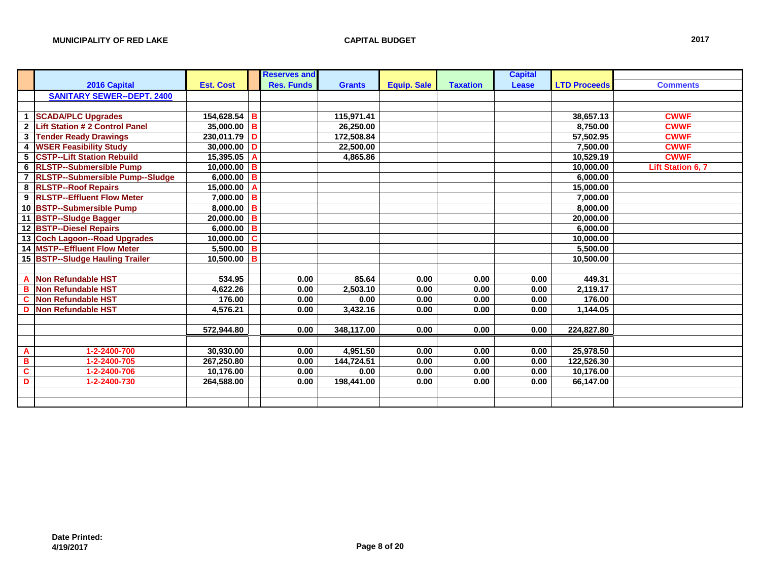|                         |                                       |                    |                | <b>Reserves and</b> |               |                    |                 | <b>Capital</b> |                     |                          |
|-------------------------|---------------------------------------|--------------------|----------------|---------------------|---------------|--------------------|-----------------|----------------|---------------------|--------------------------|
|                         | 2016 Capital                          | <b>Est. Cost</b>   |                | <b>Res. Funds</b>   | <b>Grants</b> | <b>Equip. Sale</b> | <b>Taxation</b> | <b>Lease</b>   | <b>LTD Proceeds</b> | <b>Comments</b>          |
|                         | <b>SANITARY SEWER--DEPT. 2400</b>     |                    |                |                     |               |                    |                 |                |                     |                          |
|                         |                                       |                    |                |                     |               |                    |                 |                |                     |                          |
| $\mathbf 1$             | <b>SCADA/PLC Upgrades</b>             | 154.628.54         | $\overline{B}$ |                     | 115,971.41    |                    |                 |                | 38.657.13           | <b>CWWF</b>              |
| $\mathbf{2}$            | <b>Lift Station # 2 Control Panel</b> | 35,000.00          | $\mathsf{B}$   |                     | 26,250.00     |                    |                 |                | 8,750.00            | <b>CWWF</b>              |
| 3                       | <b>Tender Ready Drawings</b>          | 230,011.79         | $\mathsf{D}$   |                     | 172,508.84    |                    |                 |                | 57,502.95           | <b>CWWF</b>              |
| $\overline{\mathbf{4}}$ | <b>WSER Feasibility Study</b>         | $30,000.00$ D      |                |                     | 22.500.00     |                    |                 |                | 7,500.00            | <b>CWWF</b>              |
| 5                       | <b>CSTP--Lift Station Rebuild</b>     | 15,395.05          | $\overline{A}$ |                     | 4,865.86      |                    |                 |                | 10,529.19           | <b>CWWF</b>              |
| 6                       | <b>RLSTP--Submersible Pump</b>        | 10,000.00          | $\mathsf{B}$   |                     |               |                    |                 |                | 10,000.00           | <b>Lift Station 6, 7</b> |
|                         | 7 RLSTP--Submersible Pump--Sludge     | $6,000.00$ B       |                |                     |               |                    |                 |                | 6,000.00            |                          |
|                         | 8 RLSTP--Roof Repairs                 | 15,000.00          | $\mathsf{A}$   |                     |               |                    |                 |                | 15,000.00           |                          |
| 9                       | <b>RLSTP--Effluent Flow Meter</b>     | $7,000.00$ B       |                |                     |               |                    |                 |                | 7,000.00            |                          |
|                         | 10 BSTP--Submersible Pump             | 8,000.00           | B              |                     |               |                    |                 |                | 8,000.00            |                          |
|                         | 11 BSTP--Sludge Bagger                | $20,000.00$ B      |                |                     |               |                    |                 |                | 20,000.00           |                          |
|                         | 12 BSTP--Diesel Repairs               | 6,000.00 B         |                |                     |               |                    |                 |                | 6,000.00            |                          |
|                         | 13 Coch Lagoon--Road Upgrades         | $10,000.00$ C      |                |                     |               |                    |                 |                | 10,000.00           |                          |
|                         | 14 MSTP--Effluent Flow Meter          | 5.500.00           | $\mathbf B$    |                     |               |                    |                 |                | 5,500.00            |                          |
|                         | 15 BSTP--Sludge Hauling Trailer       | 10,500.00 <b>B</b> |                |                     |               |                    |                 |                | 10,500.00           |                          |
|                         |                                       |                    |                |                     |               |                    |                 |                |                     |                          |
|                         | <b>Non Refundable HST</b>             | 534.95             |                | 0.00                | 85.64         | 0.00               | 0.00            | 0.00           | 449.31              |                          |
|                         | <b>Non Refundable HST</b>             | 4,622.26           |                | 0.00                | 2,503.10      | 0.00               | 0.00            | 0.00           | 2,119.17            |                          |
| C                       | <b>Non Refundable HST</b>             | 176.00             |                | 0.00                | 0.00          | 0.00               | 0.00            | 0.00           | 176.00              |                          |
| D                       | <b>Non Refundable HST</b>             | 4,576.21           |                | 0.00                | 3,432.16      | 0.00               | 0.00            | 0.00           | 1,144.05            |                          |
|                         |                                       |                    |                |                     |               |                    |                 |                |                     |                          |
|                         |                                       | 572,944.80         |                | 0.00                | 348,117.00    | 0.00               | 0.00            | 0.00           | 224,827.80          |                          |
|                         |                                       |                    |                |                     |               |                    |                 |                |                     |                          |
| A                       | 1-2-2400-700                          | 30,930.00          |                | 0.00                | 4,951.50      | 0.00               | 0.00            | 0.00           | 25,978.50           |                          |
| B                       | 1-2-2400-705                          | 267,250.80         |                | 0.00                | 144,724.51    | 0.00               | 0.00            | 0.00           | 122,526.30          |                          |
| $\mathbf c$             | 1-2-2400-706                          | 10,176.00          |                | 0.00                | 0.00          | 0.00               | 0.00            | 0.00           | 10,176.00           |                          |
| D                       | 1-2-2400-730                          | 264,588.00         |                | 0.00                | 198,441.00    | 0.00               | 0.00            | 0.00           | 66,147.00           |                          |
|                         |                                       |                    |                |                     |               |                    |                 |                |                     |                          |
|                         |                                       |                    |                |                     |               |                    |                 |                |                     |                          |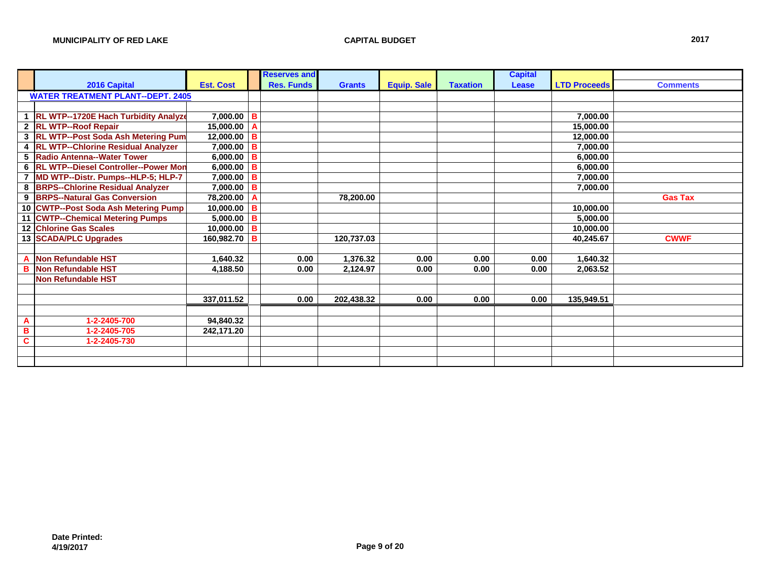|                |                                             |                  |                | <b>Reserves and</b> |               |                    |                 | <b>Capital</b> |                     |                 |
|----------------|---------------------------------------------|------------------|----------------|---------------------|---------------|--------------------|-----------------|----------------|---------------------|-----------------|
|                | 2016 Capital                                | <b>Est. Cost</b> |                | <b>Res. Funds</b>   | <b>Grants</b> | <b>Equip. Sale</b> | <b>Taxation</b> | Lease          | <b>LTD Proceeds</b> | <b>Comments</b> |
|                | <b>WATER TREATMENT PLANT--DEPT. 2405</b>    |                  |                |                     |               |                    |                 |                |                     |                 |
|                |                                             |                  |                |                     |               |                    |                 |                |                     |                 |
|                | 1 RL WTP--1720E Hach Turbidity Analyze      | $7,000.00$ B     |                |                     |               |                    |                 |                | 7,000.00            |                 |
|                | 2 RL WTP--Roof Repair                       | 15,000.00 A      |                |                     |               |                    |                 |                | 15,000.00           |                 |
|                | 3 RL WTP--Post Soda Ash Metering Pum        | 12,000.00 B      |                |                     |               |                    |                 |                | 12,000.00           |                 |
|                | 4 RL WTP--Chlorine Residual Analyzer        | $7,000.00$ B     |                |                     |               |                    |                 |                | 7,000.00            |                 |
| 5              | Radio Antenna--Water Tower                  | $6,000.00$ B     |                |                     |               |                    |                 |                | 6,000.00            |                 |
| 6              | <b>RL WTP--Diesel Controller--Power Mon</b> | $6,000.00$ B     |                |                     |               |                    |                 |                | 6,000.00            |                 |
| $\overline{7}$ | MD WTP--Distr. Pumps--HLP-5; HLP-7          | $7,000.00$ B     |                |                     |               |                    |                 |                | 7,000.00            |                 |
|                | 8 BRPS--Chlorine Residual Analyzer          | $7,000.00$ B     |                |                     |               |                    |                 |                | 7,000.00            |                 |
| 9              | <b>BRPS--Natural Gas Conversion</b>         | 78,200.00        | A              |                     | 78,200.00     |                    |                 |                |                     | <b>Gas Tax</b>  |
|                | 10 CWTP--Post Soda Ash Metering Pump        | 10,000.00        | $\mathbf{B}$   |                     |               |                    |                 |                | 10.000.00           |                 |
|                | 11 CWTP--Chemical Metering Pumps            | $5,000.00$ B     |                |                     |               |                    |                 |                | 5.000.00            |                 |
|                | 12 Chlorine Gas Scales                      | 10,000.00        | $\overline{B}$ |                     |               |                    |                 |                | 10,000.00           |                 |
|                | 13 SCADA/PLC Upgrades                       | 160,982.70 B     |                |                     | 120,737.03    |                    |                 |                | 40,245.67           | <b>CWWF</b>     |
|                |                                             |                  |                |                     |               |                    |                 |                |                     |                 |
|                | <b>Non Refundable HST</b>                   | 1.640.32         |                | 0.00                | 1,376.32      | 0.00               | 0.00            | 0.00           | 1,640.32            |                 |
| B              | <b>Non Refundable HST</b>                   | 4,188.50         |                | 0.00                | 2,124.97      | 0.00               | 0.00            | 0.00           | 2,063.52            |                 |
|                | <b>Non Refundable HST</b>                   |                  |                |                     |               |                    |                 |                |                     |                 |
|                |                                             |                  |                |                     |               |                    |                 |                |                     |                 |
|                |                                             | 337,011.52       |                | 0.00                | 202.438.32    | 0.00               | 0.00            | 0.00           | 135,949.51          |                 |
|                |                                             |                  |                |                     |               |                    |                 |                |                     |                 |
| A              | 1-2-2405-700                                | 94,840.32        |                |                     |               |                    |                 |                |                     |                 |
| B              | 1-2-2405-705                                | 242,171.20       |                |                     |               |                    |                 |                |                     |                 |
| C              | 1-2-2405-730                                |                  |                |                     |               |                    |                 |                |                     |                 |
|                |                                             |                  |                |                     |               |                    |                 |                |                     |                 |
|                |                                             |                  |                |                     |               |                    |                 |                |                     |                 |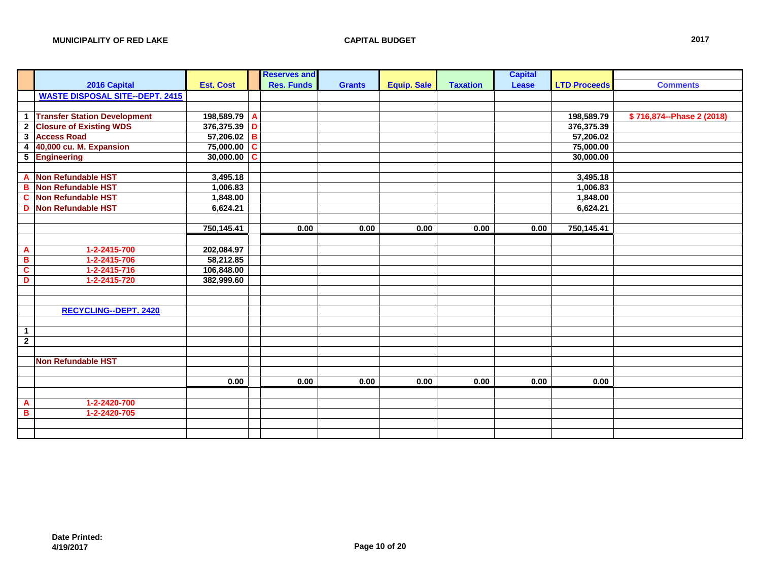|                         |                                        |                  | <b>Reserves and</b> |               |                    |                 | <b>Capital</b> |                     |                             |
|-------------------------|----------------------------------------|------------------|---------------------|---------------|--------------------|-----------------|----------------|---------------------|-----------------------------|
|                         | 2016 Capital                           | <b>Est. Cost</b> | <b>Res. Funds</b>   | <b>Grants</b> | <b>Equip. Sale</b> | <b>Taxation</b> | Lease          | <b>LTD Proceeds</b> | <b>Comments</b>             |
|                         | <b>WASTE DISPOSAL SITE--DEPT. 2415</b> |                  |                     |               |                    |                 |                |                     |                             |
|                         |                                        |                  |                     |               |                    |                 |                |                     |                             |
|                         | 1 Transfer Station Development         | 198,589.79 A     |                     |               |                    |                 |                | 198,589.79          | \$716,874 -- Phase 2 (2018) |
|                         | 2 Closure of Existing WDS              | 376,375.39 D     |                     |               |                    |                 |                | 376,375.39          |                             |
|                         | 3 Access Road                          | $57,206.02$ B    |                     |               |                    |                 |                | 57,206.02           |                             |
| $\overline{\mathbf{4}}$ | 40,000 cu. M. Expansion                | 75,000.00 C      |                     |               |                    |                 |                | 75,000.00           |                             |
|                         | 5 Engineering                          | $30,000.00$ C    |                     |               |                    |                 |                | 30,000.00           |                             |
|                         |                                        |                  |                     |               |                    |                 |                |                     |                             |
|                         | A Non Refundable HST                   | 3,495.18         |                     |               |                    |                 |                | 3,495.18            |                             |
| B                       | <b>Non Refundable HST</b>              | 1,006.83         |                     |               |                    |                 |                | 1,006.83            |                             |
| $\overline{\mathbf{c}}$ | <b>Non Refundable HST</b>              | 1,848.00         |                     |               |                    |                 |                | 1,848.00            |                             |
| D                       | <b>Non Refundable HST</b>              | 6,624.21         |                     |               |                    |                 |                | 6,624.21            |                             |
|                         |                                        |                  |                     |               |                    |                 |                |                     |                             |
|                         |                                        | 750,145.41       | 0.00                | 0.00          | 0.00               | 0.00            | 0.00           | 750,145.41          |                             |
|                         |                                        |                  |                     |               |                    |                 |                |                     |                             |
| $\mathbf{A}$            | 1-2-2415-700                           | 202,084.97       |                     |               |                    |                 |                |                     |                             |
| $\overline{\mathbf{B}}$ | 1-2-2415-706                           | 58,212.85        |                     |               |                    |                 |                |                     |                             |
| $\overline{\mathbf{c}}$ | 1-2-2415-716                           | 106,848.00       |                     |               |                    |                 |                |                     |                             |
| D                       | 1-2-2415-720                           | 382,999.60       |                     |               |                    |                 |                |                     |                             |
|                         |                                        |                  |                     |               |                    |                 |                |                     |                             |
|                         |                                        |                  |                     |               |                    |                 |                |                     |                             |
|                         | <b>RECYCLING--DEPT. 2420</b>           |                  |                     |               |                    |                 |                |                     |                             |
|                         |                                        |                  |                     |               |                    |                 |                |                     |                             |
| $\mathbf{1}$            |                                        |                  |                     |               |                    |                 |                |                     |                             |
| $\overline{\mathbf{2}}$ |                                        |                  |                     |               |                    |                 |                |                     |                             |
|                         |                                        |                  |                     |               |                    |                 |                |                     |                             |
|                         | <b>Non Refundable HST</b>              |                  |                     |               |                    |                 |                |                     |                             |
|                         |                                        |                  |                     |               |                    |                 |                |                     |                             |
|                         |                                        | 0.00             | 0.00                | 0.00          | 0.00               | 0.00            | 0.00           | 0.00                |                             |
|                         |                                        |                  |                     |               |                    |                 |                |                     |                             |
| $\mathbf{A}$            | 1-2-2420-700                           |                  |                     |               |                    |                 |                |                     |                             |
| $\overline{\mathbf{B}}$ | 1-2-2420-705                           |                  |                     |               |                    |                 |                |                     |                             |
|                         |                                        |                  |                     |               |                    |                 |                |                     |                             |
|                         |                                        |                  |                     |               |                    |                 |                |                     |                             |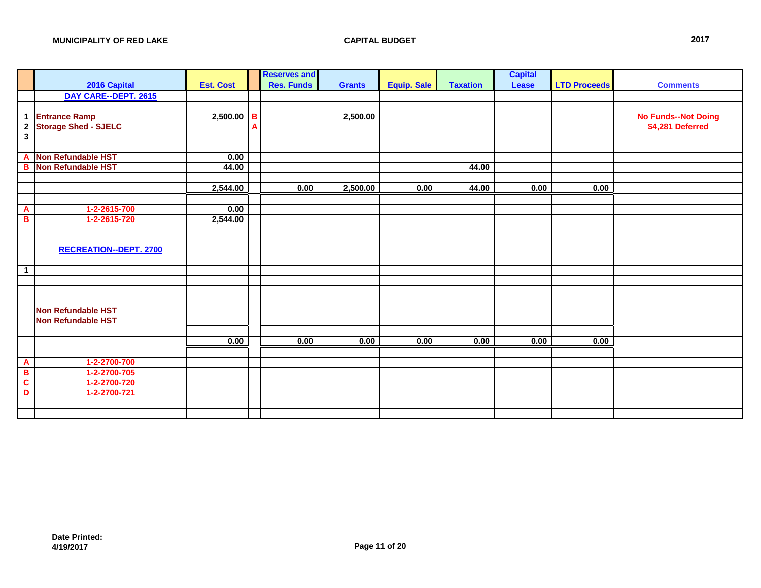|                                         |                               |                  | <b>Reserves and</b> |      |               |                    |                 | <b>Capital</b> |                     |                            |
|-----------------------------------------|-------------------------------|------------------|---------------------|------|---------------|--------------------|-----------------|----------------|---------------------|----------------------------|
|                                         | 2016 Capital                  | <b>Est. Cost</b> | <b>Res. Funds</b>   |      | <b>Grants</b> | <b>Equip. Sale</b> | <b>Taxation</b> | <b>Lease</b>   | <b>LTD Proceeds</b> | <b>Comments</b>            |
|                                         | DAY CARE--DEPT. 2615          |                  |                     |      |               |                    |                 |                |                     |                            |
|                                         |                               |                  |                     |      |               |                    |                 |                |                     |                            |
| $\mathbf{1}$                            | <b>Entrance Ramp</b>          | $2,500.00$ B     |                     |      | 2,500.00      |                    |                 |                |                     | <b>No Funds--Not Doing</b> |
| $\overline{2}$                          | <b>Storage Shed - SJELC</b>   |                  | $\mathbf{A}$        |      |               |                    |                 |                |                     | \$4,281 Deferred           |
| $\overline{\mathbf{3}}$                 |                               |                  |                     |      |               |                    |                 |                |                     |                            |
|                                         |                               |                  |                     |      |               |                    |                 |                |                     |                            |
| $\mathbf{A}$                            | <b>Non Refundable HST</b>     | 0.00             |                     |      |               |                    |                 |                |                     |                            |
| $\overline{B}$                          | Non Refundable HST            | 44.00            |                     |      |               |                    | 44.00           |                |                     |                            |
|                                         |                               |                  |                     |      |               |                    |                 |                |                     |                            |
|                                         |                               | 2,544.00         |                     | 0.00 | 2,500.00      | 0.00               | 44.00           | 0.00           | 0.00                |                            |
|                                         |                               |                  |                     |      |               |                    |                 |                |                     |                            |
| $\mathbf{A}$                            | 1-2-2615-700                  | 0.00             |                     |      |               |                    |                 |                |                     |                            |
| B                                       | 1-2-2615-720                  | 2,544.00         |                     |      |               |                    |                 |                |                     |                            |
|                                         |                               |                  |                     |      |               |                    |                 |                |                     |                            |
|                                         |                               |                  |                     |      |               |                    |                 |                |                     |                            |
|                                         | <b>RECREATION--DEPT. 2700</b> |                  |                     |      |               |                    |                 |                |                     |                            |
|                                         |                               |                  |                     |      |               |                    |                 |                |                     |                            |
| $\mathbf{1}$                            |                               |                  |                     |      |               |                    |                 |                |                     |                            |
|                                         |                               |                  |                     |      |               |                    |                 |                |                     |                            |
|                                         |                               |                  |                     |      |               |                    |                 |                |                     |                            |
|                                         |                               |                  |                     |      |               |                    |                 |                |                     |                            |
|                                         | <b>Non Refundable HST</b>     |                  |                     |      |               |                    |                 |                |                     |                            |
|                                         | <b>Non Refundable HST</b>     |                  |                     |      |               |                    |                 |                |                     |                            |
|                                         |                               |                  |                     |      |               |                    |                 |                |                     |                            |
|                                         |                               | 0.00             |                     | 0.00 | 0.00          | 0.00               | 0.00            | 0.00           | 0.00                |                            |
|                                         | 1-2-2700-700                  |                  |                     |      |               |                    |                 |                |                     |                            |
| $\mathbf{A}$<br>$\overline{\mathbf{B}}$ |                               |                  |                     |      |               |                    |                 |                |                     |                            |
| $\overline{\mathbf{c}}$                 | 1-2-2700-705<br>1-2-2700-720  |                  |                     |      |               |                    |                 |                |                     |                            |
| D                                       | 1-2-2700-721                  |                  |                     |      |               |                    |                 |                |                     |                            |
|                                         |                               |                  |                     |      |               |                    |                 |                |                     |                            |
|                                         |                               |                  |                     |      |               |                    |                 |                |                     |                            |
|                                         |                               |                  |                     |      |               |                    |                 |                |                     |                            |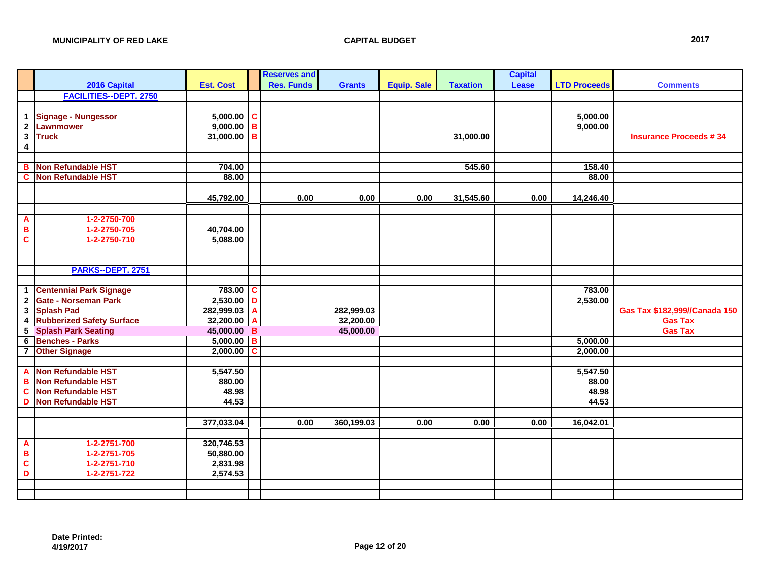|                         |                                |                       | <b>Reserves and</b> |               |                    |                 | <b>Capital</b> |                     |                               |
|-------------------------|--------------------------------|-----------------------|---------------------|---------------|--------------------|-----------------|----------------|---------------------|-------------------------------|
|                         | 2016 Capital                   | <b>Est. Cost</b>      | <b>Res. Funds</b>   | <b>Grants</b> | <b>Equip. Sale</b> | <b>Taxation</b> | Lease          | <b>LTD Proceeds</b> | <b>Comments</b>               |
|                         | <b>FACILITIES--DEPT. 2750</b>  |                       |                     |               |                    |                 |                |                     |                               |
|                         |                                |                       |                     |               |                    |                 |                |                     |                               |
|                         | 1 Signage - Nungessor          | 5,000.00 $ C $        |                     |               |                    |                 |                | 5,000.00            |                               |
| $\mathbf{2}$            | Lawnmower                      | $9,000.00$ B          |                     |               |                    |                 |                | 9,000.00            |                               |
| $\mathbf{3}$            | <b>Truck</b>                   | 31,000.00 B           |                     |               |                    | 31,000.00       |                |                     | <b>Insurance Proceeds #34</b> |
| 4                       |                                |                       |                     |               |                    |                 |                |                     |                               |
|                         |                                |                       |                     |               |                    |                 |                |                     |                               |
| в                       | Non Refundable HST             | 704.00                |                     |               |                    | 545.60          |                | 158.40              |                               |
| C                       | Non Refundable HST             | 88.00                 |                     |               |                    |                 |                | 88.00               |                               |
|                         |                                |                       |                     |               |                    |                 |                |                     |                               |
|                         |                                | 45,792.00             | 0.00                | 0.00          | 0.00               | 31,545.60       | 0.00           | 14,246.40           |                               |
|                         |                                |                       |                     |               |                    |                 |                |                     |                               |
| A                       | 1-2-2750-700                   |                       |                     |               |                    |                 |                |                     |                               |
| $\, {\bf B}$            | 1-2-2750-705                   | 40,704.00             |                     |               |                    |                 |                |                     |                               |
| $\mathbf c$             | 1-2-2750-710                   | 5,088.00              |                     |               |                    |                 |                |                     |                               |
|                         |                                |                       |                     |               |                    |                 |                |                     |                               |
|                         |                                |                       |                     |               |                    |                 |                |                     |                               |
|                         | PARKS--DEPT. 2751              |                       |                     |               |                    |                 |                |                     |                               |
|                         |                                |                       |                     |               |                    |                 |                |                     |                               |
| $\mathbf{1}$            | <b>Centennial Park Signage</b> | 783.00 $\overline{C}$ |                     |               |                    |                 |                | 783.00              |                               |
| $\mathbf{2}$            | <b>Gate - Norseman Park</b>    | $2,530.00$ D          |                     |               |                    |                 |                | 2,530.00            |                               |
|                         | 3 Splash Pad                   | 282,999.03 A          |                     | 282,999.03    |                    |                 |                |                     | Gas Tax \$182,999//Canada 150 |
|                         | 4 Rubberized Safety Surface    | $32,200.00$ A         |                     | 32,200.00     |                    |                 |                |                     | <b>Gas Tax</b>                |
| 5                       | <b>Splash Park Seating</b>     | 45,000.00 B           |                     | 45,000.00     |                    |                 |                |                     | <b>Gas Tax</b>                |
|                         | 6 Benches - Parks              | $5,000.00$ B          |                     |               |                    |                 |                | 5,000.00            |                               |
|                         | 7 Other Signage                | $2,000.00$ C          |                     |               |                    |                 |                | 2,000.00            |                               |
|                         |                                |                       |                     |               |                    |                 |                |                     |                               |
| A                       | <b>Non Refundable HST</b>      | 5,547.50              |                     |               |                    |                 |                | 5,547.50            |                               |
| B                       | <b>Non Refundable HST</b>      | 880.00                |                     |               |                    |                 |                | 88.00               |                               |
| $\mathbf c$             | Non Refundable HST             | 48.98                 |                     |               |                    |                 |                | 48.98               |                               |
| D                       | <b>Non Refundable HST</b>      | 44.53                 |                     |               |                    |                 |                | 44.53               |                               |
|                         |                                |                       |                     |               |                    |                 |                |                     |                               |
|                         |                                | 377,033.04            | 0.00                | 360,199.03    | 0.00               | 0.00            | 0.00           | 16,042.01           |                               |
|                         |                                |                       |                     |               |                    |                 |                |                     |                               |
| A                       | 1-2-2751-700                   | 320,746.53            |                     |               |                    |                 |                |                     |                               |
| $\overline{\mathbf{B}}$ | 1-2-2751-705                   | 50,880.00             |                     |               |                    |                 |                |                     |                               |
| $\mathbf c$             | 1-2-2751-710                   | 2,831.98              |                     |               |                    |                 |                |                     |                               |
| D                       | 1-2-2751-722                   | 2,574.53              |                     |               |                    |                 |                |                     |                               |
|                         |                                |                       |                     |               |                    |                 |                |                     |                               |
|                         |                                |                       |                     |               |                    |                 |                |                     |                               |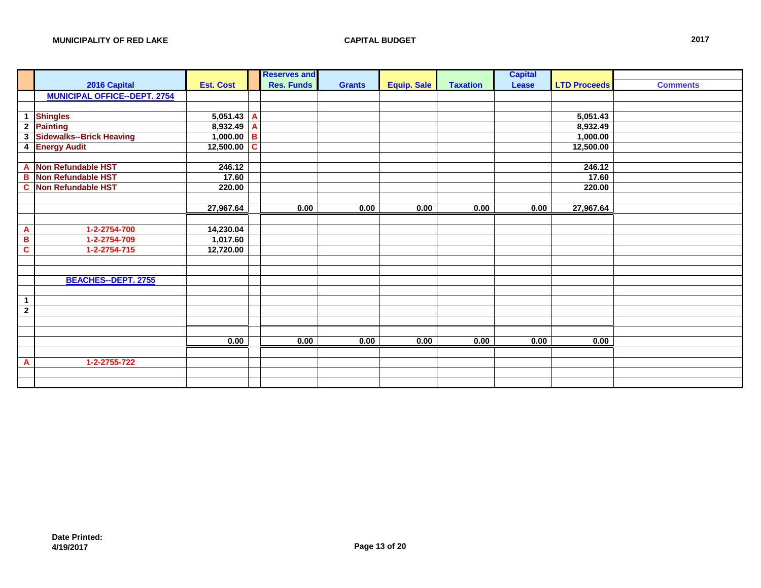|                         |                                     |                  | <b>Reserves and</b> |               |                    |                 | <b>Capital</b> |                     |                 |
|-------------------------|-------------------------------------|------------------|---------------------|---------------|--------------------|-----------------|----------------|---------------------|-----------------|
|                         | 2016 Capital                        | <b>Est. Cost</b> | <b>Res. Funds</b>   | <b>Grants</b> | <b>Equip. Sale</b> | <b>Taxation</b> | <b>Lease</b>   | <b>LTD Proceeds</b> | <b>Comments</b> |
|                         | <b>MUNICIPAL OFFICE--DEPT. 2754</b> |                  |                     |               |                    |                 |                |                     |                 |
|                         |                                     |                  |                     |               |                    |                 |                |                     |                 |
| $\mathbf 1$             | <b>Shingles</b>                     | $5,051.43$ A     |                     |               |                    |                 |                | 5,051.43            |                 |
| $\overline{\mathbf{2}}$ | Painting                            | 8,932.49 A       |                     |               |                    |                 |                | 8,932.49            |                 |
| $\overline{\mathbf{3}}$ | <b>Sidewalks--Brick Heaving</b>     | $1,000.00$ B     |                     |               |                    |                 |                | 1,000.00            |                 |
| $\overline{\mathbf{4}}$ | <b>Energy Audit</b>                 | $12,500.00$ C    |                     |               |                    |                 |                | 12,500.00           |                 |
|                         |                                     |                  |                     |               |                    |                 |                |                     |                 |
| $\overline{A}$          | Non Refundable HST                  | 246.12           |                     |               |                    |                 |                | 246.12              |                 |
| B                       | <b>Non Refundable HST</b>           | 17.60            |                     |               |                    |                 |                | 17.60               |                 |
| $\mathbf c$             | <b>Non Refundable HST</b>           | 220.00           |                     |               |                    |                 |                | 220.00              |                 |
|                         |                                     |                  |                     |               |                    |                 |                |                     |                 |
|                         |                                     | 27,967.64        | 0.00                | 0.00          | 0.00               | 0.00            | 0.00           | 27,967.64           |                 |
|                         |                                     |                  |                     |               |                    |                 |                |                     |                 |
| A                       | 1-2-2754-700                        | 14,230.04        |                     |               |                    |                 |                |                     |                 |
| B                       | 1-2-2754-709                        | 1,017.60         |                     |               |                    |                 |                |                     |                 |
| $\overline{\mathbf{c}}$ | 1-2-2754-715                        | 12,720.00        |                     |               |                    |                 |                |                     |                 |
|                         |                                     |                  |                     |               |                    |                 |                |                     |                 |
|                         |                                     |                  |                     |               |                    |                 |                |                     |                 |
|                         | <b>BEACHES--DEPT. 2755</b>          |                  |                     |               |                    |                 |                |                     |                 |
|                         |                                     |                  |                     |               |                    |                 |                |                     |                 |
| $\mathbf{1}$            |                                     |                  |                     |               |                    |                 |                |                     |                 |
| $\overline{\mathbf{2}}$ |                                     |                  |                     |               |                    |                 |                |                     |                 |
|                         |                                     |                  |                     |               |                    |                 |                |                     |                 |
|                         |                                     |                  |                     |               |                    |                 |                |                     |                 |
|                         |                                     | 0.00             | 0.00                | 0.00          | 0.00               | 0.00            | 0.00           | 0.00                |                 |
|                         |                                     |                  |                     |               |                    |                 |                |                     |                 |
| $\overline{A}$          | 1-2-2755-722                        |                  |                     |               |                    |                 |                |                     |                 |
|                         |                                     |                  |                     |               |                    |                 |                |                     |                 |
|                         |                                     |                  |                     |               |                    |                 |                |                     |                 |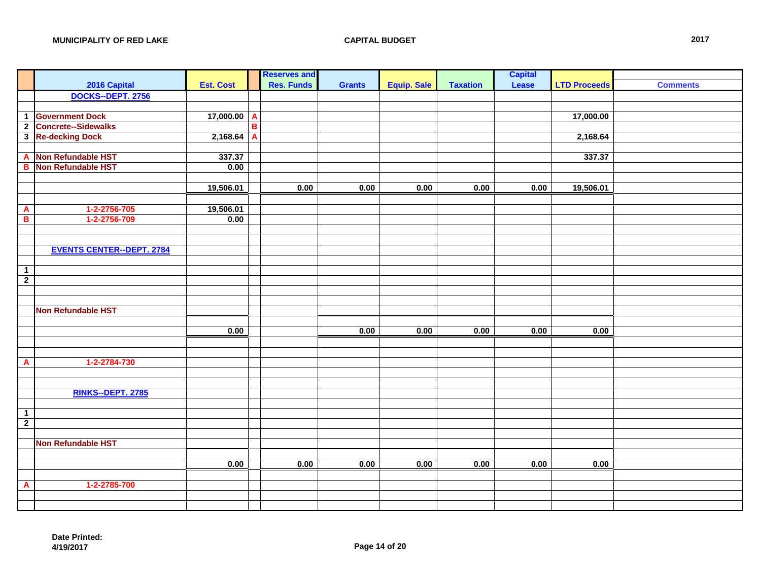|                |                                  |                  | <b>Reserves and</b> |               |                    |                 | <b>Capital</b> |                     |                 |
|----------------|----------------------------------|------------------|---------------------|---------------|--------------------|-----------------|----------------|---------------------|-----------------|
|                | 2016 Capital                     | <b>Est. Cost</b> | <b>Res. Funds</b>   | <b>Grants</b> | <b>Equip. Sale</b> | <b>Taxation</b> | Lease          | <b>LTD Proceeds</b> | <b>Comments</b> |
|                | DOCKS--DEPT. 2756                |                  |                     |               |                    |                 |                |                     |                 |
|                |                                  |                  |                     |               |                    |                 |                |                     |                 |
|                | 1 Government Dock                | 17,000.00        | $\overline{A}$      |               |                    |                 |                | 17,000.00           |                 |
|                | 2 Concrete--Sidewalks            |                  | B                   |               |                    |                 |                |                     |                 |
|                | 3 Re-decking Dock                | $2,168.64$ A     |                     |               |                    |                 |                | 2,168.64            |                 |
|                |                                  |                  |                     |               |                    |                 |                |                     |                 |
| A              | Non Refundable HST               | 337.37           |                     |               |                    |                 |                | 337.37              |                 |
|                | <b>B</b> Non Refundable HST      | 0.00             |                     |               |                    |                 |                |                     |                 |
|                |                                  |                  |                     |               |                    |                 |                |                     |                 |
|                |                                  | 19,506.01        | 0.00                | 0.00          | 0.00               | 0.00            | 0.00           | 19,506.01           |                 |
|                |                                  |                  |                     |               |                    |                 |                |                     |                 |
| $\frac{A}{B}$  | 1-2-2756-705                     | 19,506.01        |                     |               |                    |                 |                |                     |                 |
|                | 1-2-2756-709                     | 0.00             |                     |               |                    |                 |                |                     |                 |
|                |                                  |                  |                     |               |                    |                 |                |                     |                 |
|                |                                  |                  |                     |               |                    |                 |                |                     |                 |
|                | <b>EVENTS CENTER--DEPT. 2784</b> |                  |                     |               |                    |                 |                |                     |                 |
|                |                                  |                  |                     |               |                    |                 |                |                     |                 |
| $\mathbf 1$    |                                  |                  |                     |               |                    |                 |                |                     |                 |
| $\overline{2}$ |                                  |                  |                     |               |                    |                 |                |                     |                 |
|                |                                  |                  |                     |               |                    |                 |                |                     |                 |
|                | <b>Non Refundable HST</b>        |                  |                     |               |                    |                 |                |                     |                 |
|                |                                  |                  |                     |               |                    |                 |                |                     |                 |
|                |                                  | 0.00             |                     | 0.00          | 0.00               | 0.00            | 0.00           | 0.00                |                 |
|                |                                  |                  |                     |               |                    |                 |                |                     |                 |
|                |                                  |                  |                     |               |                    |                 |                |                     |                 |
| A              | 1-2-2784-730                     |                  |                     |               |                    |                 |                |                     |                 |
|                |                                  |                  |                     |               |                    |                 |                |                     |                 |
|                |                                  |                  |                     |               |                    |                 |                |                     |                 |
|                | <b>RINKS--DEPT. 2785</b>         |                  |                     |               |                    |                 |                |                     |                 |
|                |                                  |                  |                     |               |                    |                 |                |                     |                 |
| $\frac{1}{2}$  |                                  |                  |                     |               |                    |                 |                |                     |                 |
|                |                                  |                  |                     |               |                    |                 |                |                     |                 |
|                |                                  |                  |                     |               |                    |                 |                |                     |                 |
|                | <b>Non Refundable HST</b>        |                  |                     |               |                    |                 |                |                     |                 |
|                |                                  |                  |                     |               |                    |                 |                |                     |                 |
|                |                                  | 0.00             | 0.00                | 0.00          | 0.00               | 0.00            | 0.00           | 0.00                |                 |
|                |                                  |                  |                     |               |                    |                 |                |                     |                 |
| $\overline{A}$ | 1-2-2785-700                     |                  |                     |               |                    |                 |                |                     |                 |
|                |                                  |                  |                     |               |                    |                 |                |                     |                 |
|                |                                  |                  |                     |               |                    |                 |                |                     |                 |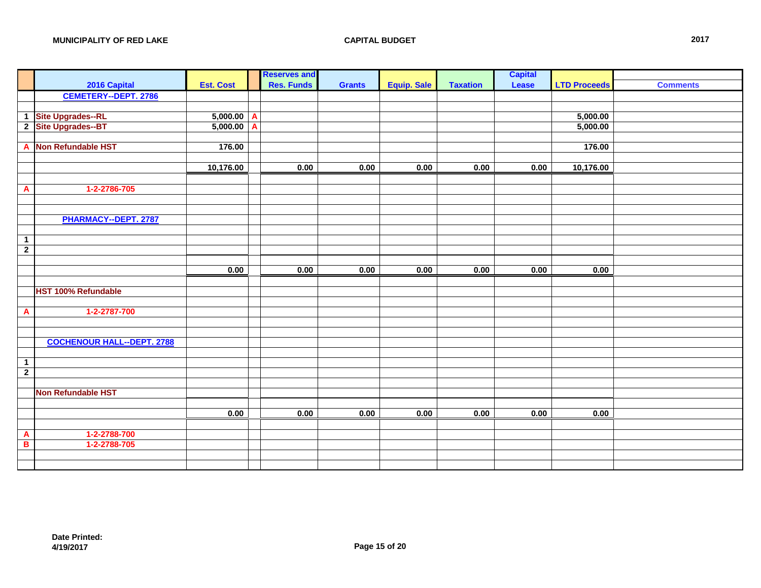|                                  |                                   |                  | <b>Reserves and</b> |               |                    |                 | <b>Capital</b> |                     |                 |
|----------------------------------|-----------------------------------|------------------|---------------------|---------------|--------------------|-----------------|----------------|---------------------|-----------------|
|                                  | 2016 Capital                      | <b>Est. Cost</b> | <b>Res. Funds</b>   | <b>Grants</b> | <b>Equip. Sale</b> | <b>Taxation</b> | Lease          | <b>LTD Proceeds</b> | <b>Comments</b> |
|                                  | <b>CEMETERY--DEPT. 2786</b>       |                  |                     |               |                    |                 |                |                     |                 |
|                                  |                                   |                  |                     |               |                    |                 |                |                     |                 |
|                                  | 1 Site Upgrades--RL               | $5,000.00$ A     |                     |               |                    |                 |                | 5,000.00            |                 |
|                                  | 2 Site Upgrades--BT               | $5,000.00$ A     |                     |               |                    |                 |                | 5,000.00            |                 |
|                                  |                                   |                  |                     |               |                    |                 |                |                     |                 |
| A                                | Non Refundable HST                | 176.00           |                     |               |                    |                 |                | 176.00              |                 |
|                                  |                                   |                  |                     |               |                    |                 |                |                     |                 |
|                                  |                                   | 10,176.00        | 0.00                | 0.00          | 0.00               | 0.00            | 0.00           | 10,176.00           |                 |
|                                  |                                   |                  |                     |               |                    |                 |                |                     |                 |
| $\mathbf{A}$                     | 1-2-2786-705                      |                  |                     |               |                    |                 |                |                     |                 |
|                                  |                                   |                  |                     |               |                    |                 |                |                     |                 |
|                                  |                                   |                  |                     |               |                    |                 |                |                     |                 |
|                                  | PHARMACY--DEPT. 2787              |                  |                     |               |                    |                 |                |                     |                 |
|                                  |                                   |                  |                     |               |                    |                 |                |                     |                 |
| $\mathbf 1$                      |                                   |                  |                     |               |                    |                 |                |                     |                 |
| $\overline{2}$                   |                                   |                  |                     |               |                    |                 |                |                     |                 |
|                                  |                                   |                  |                     |               |                    |                 |                |                     |                 |
|                                  |                                   | 0.00             | 0.00                | 0.00          | 0.00               | 0.00            | 0.00           | 0.00                |                 |
|                                  |                                   |                  |                     |               |                    |                 |                |                     |                 |
|                                  | HST 100% Refundable               |                  |                     |               |                    |                 |                |                     |                 |
|                                  |                                   |                  |                     |               |                    |                 |                |                     |                 |
| $\overline{A}$                   | 1-2-2787-700                      |                  |                     |               |                    |                 |                |                     |                 |
|                                  |                                   |                  |                     |               |                    |                 |                |                     |                 |
|                                  |                                   |                  |                     |               |                    |                 |                |                     |                 |
|                                  | <b>COCHENOUR HALL--DEPT. 2788</b> |                  |                     |               |                    |                 |                |                     |                 |
|                                  |                                   |                  |                     |               |                    |                 |                |                     |                 |
| $\overline{1}$<br>$\overline{2}$ |                                   |                  |                     |               |                    |                 |                |                     |                 |
|                                  |                                   |                  |                     |               |                    |                 |                |                     |                 |
|                                  | Non Refundable HST                |                  |                     |               |                    |                 |                |                     |                 |
|                                  |                                   |                  |                     |               |                    |                 |                |                     |                 |
|                                  |                                   | 0.00             | 0.00                | 0.00          | 0.00               | 0.00            | 0.00           | 0.00                |                 |
|                                  |                                   |                  |                     |               |                    |                 |                |                     |                 |
| $\mathbf{A}$                     | 1-2-2788-700                      |                  |                     |               |                    |                 |                |                     |                 |
| B                                | 1-2-2788-705                      |                  |                     |               |                    |                 |                |                     |                 |
|                                  |                                   |                  |                     |               |                    |                 |                |                     |                 |
|                                  |                                   |                  |                     |               |                    |                 |                |                     |                 |
|                                  |                                   |                  |                     |               |                    |                 |                |                     |                 |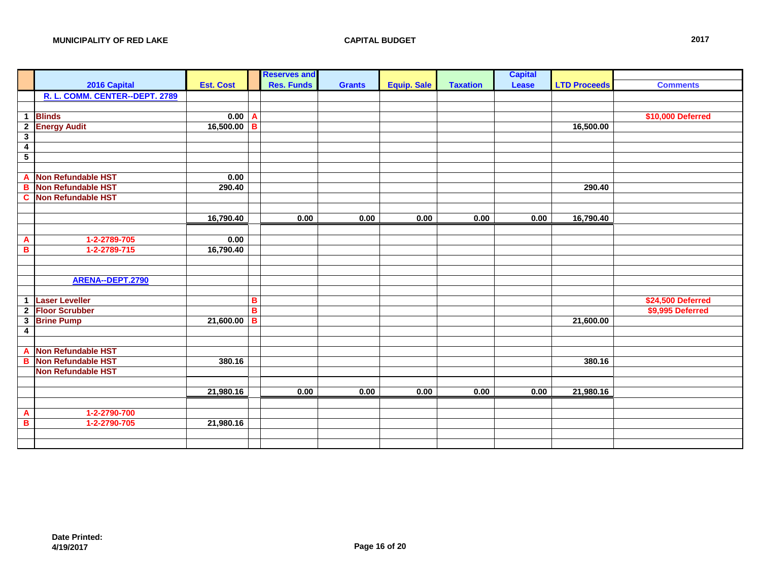|                         |                                |                  |                         | <b>Reserves and</b> |               |                    |                 | <b>Capital</b> |                     |                   |
|-------------------------|--------------------------------|------------------|-------------------------|---------------------|---------------|--------------------|-----------------|----------------|---------------------|-------------------|
|                         | 2016 Capital                   | <b>Est. Cost</b> |                         | <b>Res. Funds</b>   | <b>Grants</b> | <b>Equip. Sale</b> | <b>Taxation</b> | Lease          | <b>LTD Proceeds</b> | <b>Comments</b>   |
|                         | R. L. COMM. CENTER--DEPT. 2789 |                  |                         |                     |               |                    |                 |                |                     |                   |
|                         |                                |                  |                         |                     |               |                    |                 |                |                     |                   |
| $\mathbf{1}$            | <b>Blinds</b>                  | $0.00$ A         |                         |                     |               |                    |                 |                |                     | \$10,000 Deferred |
| $\overline{\mathbf{2}}$ | <b>Energy Audit</b>            | $16,500.00$ B    |                         |                     |               |                    |                 |                | 16,500.00           |                   |
| $\overline{\mathbf{3}}$ |                                |                  |                         |                     |               |                    |                 |                |                     |                   |
| $\overline{4}$          |                                |                  |                         |                     |               |                    |                 |                |                     |                   |
| $\overline{5}$          |                                |                  |                         |                     |               |                    |                 |                |                     |                   |
|                         |                                |                  |                         |                     |               |                    |                 |                |                     |                   |
| $\overline{A}$          | Non Refundable HST             | 0.00             |                         |                     |               |                    |                 |                |                     |                   |
| B                       | Non Refundable HST             | 290.40           |                         |                     |               |                    |                 |                | 290.40              |                   |
| $\overline{\mathbf{c}}$ | Non Refundable HST             |                  |                         |                     |               |                    |                 |                |                     |                   |
|                         |                                |                  |                         |                     |               |                    |                 |                |                     |                   |
|                         |                                | 16,790.40        |                         | 0.00                | 0.00          | 0.00               | 0.00            | 0.00           | 16,790.40           |                   |
|                         |                                |                  |                         |                     |               |                    |                 |                |                     |                   |
| $\mathbf{A}$            | 1-2-2789-705                   | 0.00             |                         |                     |               |                    |                 |                |                     |                   |
| $\blacksquare$          | 1-2-2789-715                   | 16,790.40        |                         |                     |               |                    |                 |                |                     |                   |
|                         |                                |                  |                         |                     |               |                    |                 |                |                     |                   |
|                         |                                |                  |                         |                     |               |                    |                 |                |                     |                   |
|                         | ARENA--DEPT.2790               |                  |                         |                     |               |                    |                 |                |                     |                   |
|                         |                                |                  |                         |                     |               |                    |                 |                |                     |                   |
| $\mathbf{1}$            | <b>Laser Leveller</b>          |                  | в                       |                     |               |                    |                 |                |                     | \$24,500 Deferred |
| $\overline{\mathbf{2}}$ | <b>Floor Scrubber</b>          |                  | $\overline{\mathbf{B}}$ |                     |               |                    |                 |                |                     | \$9,995 Deferred  |
| $\mathbf{3}$            | <b>Brine Pump</b>              | $21,600.00$ B    |                         |                     |               |                    |                 |                | 21,600.00           |                   |
| $\overline{\mathbf{4}}$ |                                |                  |                         |                     |               |                    |                 |                |                     |                   |
|                         |                                |                  |                         |                     |               |                    |                 |                |                     |                   |
| $\overline{A}$          | Non Refundable HST             |                  |                         |                     |               |                    |                 |                |                     |                   |
| B                       | <b>Non Refundable HST</b>      | 380.16           |                         |                     |               |                    |                 |                | 380.16              |                   |
|                         | <b>Non Refundable HST</b>      |                  |                         |                     |               |                    |                 |                |                     |                   |
|                         |                                |                  |                         |                     |               |                    |                 |                |                     |                   |
|                         |                                | 21,980.16        |                         | 0.00                | 0.00          | 0.00               | 0.00            | 0.00           | 21,980.16           |                   |
|                         |                                |                  |                         |                     |               |                    |                 |                |                     |                   |
| $\mathbf{A}$            | 1-2-2790-700                   |                  |                         |                     |               |                    |                 |                |                     |                   |
| $\overline{B}$          | 1-2-2790-705                   | 21,980.16        |                         |                     |               |                    |                 |                |                     |                   |
|                         |                                |                  |                         |                     |               |                    |                 |                |                     |                   |
|                         |                                |                  |                         |                     |               |                    |                 |                |                     |                   |
|                         |                                |                  |                         |                     |               |                    |                 |                |                     |                   |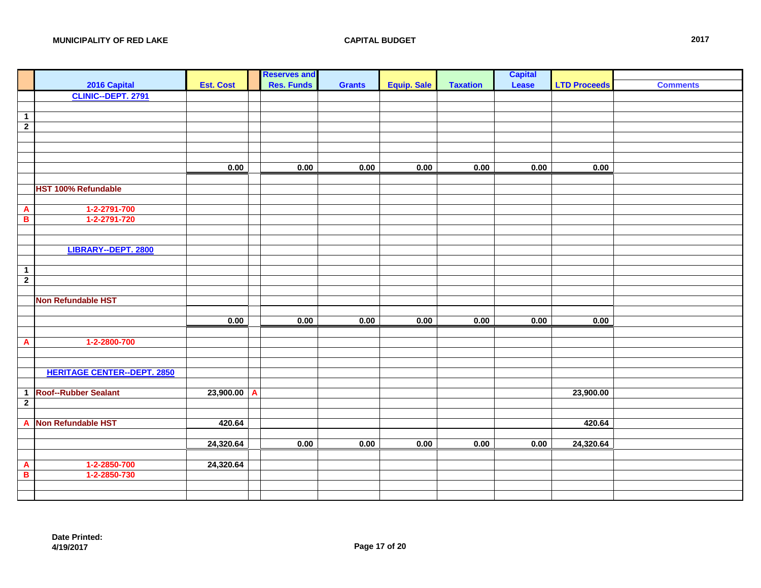|                |                                    |                  | <b>Reserves and</b> |               |                    |                 | <b>Capital</b> |                     |                 |
|----------------|------------------------------------|------------------|---------------------|---------------|--------------------|-----------------|----------------|---------------------|-----------------|
|                | 2016 Capital                       | <b>Est. Cost</b> | <b>Res. Funds</b>   | <b>Grants</b> | <b>Equip. Sale</b> | <b>Taxation</b> | Lease          | <b>LTD Proceeds</b> | <b>Comments</b> |
|                | CLINIC--DEPT. 2791                 |                  |                     |               |                    |                 |                |                     |                 |
|                |                                    |                  |                     |               |                    |                 |                |                     |                 |
| $\overline{1}$ |                                    |                  |                     |               |                    |                 |                |                     |                 |
| $\overline{2}$ |                                    |                  |                     |               |                    |                 |                |                     |                 |
|                |                                    |                  |                     |               |                    |                 |                |                     |                 |
|                |                                    |                  |                     |               |                    |                 |                |                     |                 |
|                |                                    |                  |                     |               |                    |                 |                |                     |                 |
|                |                                    | 0.00             | 0.00                | 0.00          | 0.00               | 0.00            | 0.00           | 0.00                |                 |
|                |                                    |                  |                     |               |                    |                 |                |                     |                 |
|                | <b>HST 100% Refundable</b>         |                  |                     |               |                    |                 |                |                     |                 |
|                |                                    |                  |                     |               |                    |                 |                |                     |                 |
| $\frac{A}{B}$  | 1-2-2791-700                       |                  |                     |               |                    |                 |                |                     |                 |
|                | 1-2-2791-720                       |                  |                     |               |                    |                 |                |                     |                 |
|                |                                    |                  |                     |               |                    |                 |                |                     |                 |
|                |                                    |                  |                     |               |                    |                 |                |                     |                 |
|                | LIBRARY--DEPT. 2800                |                  |                     |               |                    |                 |                |                     |                 |
|                |                                    |                  |                     |               |                    |                 |                |                     |                 |
| $\overline{1}$ |                                    |                  |                     |               |                    |                 |                |                     |                 |
| $\overline{2}$ |                                    |                  |                     |               |                    |                 |                |                     |                 |
|                |                                    |                  |                     |               |                    |                 |                |                     |                 |
|                | <b>Non Refundable HST</b>          |                  |                     |               |                    |                 |                |                     |                 |
|                |                                    |                  |                     |               |                    |                 |                |                     |                 |
|                |                                    | 0.00             | 0.00                | 0.00          | 0.00               | 0.00            | 0.00           | 0.00                |                 |
|                |                                    |                  |                     |               |                    |                 |                |                     |                 |
| $\overline{A}$ | 1-2-2800-700                       |                  |                     |               |                    |                 |                |                     |                 |
|                |                                    |                  |                     |               |                    |                 |                |                     |                 |
|                |                                    |                  |                     |               |                    |                 |                |                     |                 |
|                | <b>HERITAGE CENTER--DEPT. 2850</b> |                  |                     |               |                    |                 |                |                     |                 |
|                |                                    |                  |                     |               |                    |                 |                |                     |                 |
| $\overline{1}$ | <b>Roof--Rubber Sealant</b>        | $23,900.00$ A    |                     |               |                    |                 |                | 23,900.00           |                 |
| $\overline{2}$ |                                    |                  |                     |               |                    |                 |                |                     |                 |
|                |                                    |                  |                     |               |                    |                 |                |                     |                 |
| $\overline{A}$ | Non Refundable HST                 | 420.64           |                     |               |                    |                 |                | 420.64              |                 |
|                |                                    |                  |                     |               |                    |                 |                |                     |                 |
|                |                                    | 24,320.64        | 0.00                | 0.00          | 0.00               | $0.00\,$        | 0.00           | 24,320.64           |                 |
|                |                                    |                  |                     |               |                    |                 |                |                     |                 |
| $\overline{A}$ | 1-2-2850-700                       | 24,320.64        |                     |               |                    |                 |                |                     |                 |
| B              | 1-2-2850-730                       |                  |                     |               |                    |                 |                |                     |                 |
|                |                                    |                  |                     |               |                    |                 |                |                     |                 |
|                |                                    |                  |                     |               |                    |                 |                |                     |                 |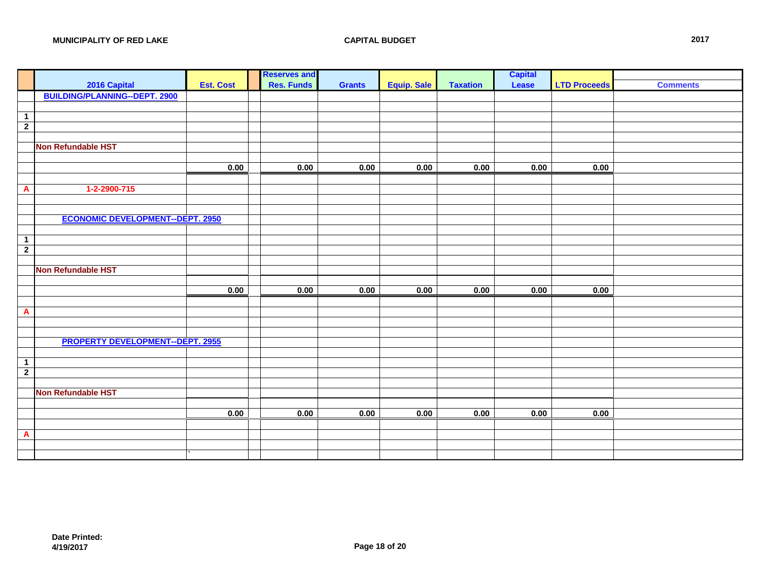|                                |                                         |                  | <b>Reserves and</b> |               |             |                 | <b>Capital</b> |                     |                 |
|--------------------------------|-----------------------------------------|------------------|---------------------|---------------|-------------|-----------------|----------------|---------------------|-----------------|
|                                | 2016 Capital                            | <b>Est. Cost</b> | <b>Res. Funds</b>   | <b>Grants</b> | Equip. Sale | <b>Taxation</b> | Lease          | <b>LTD Proceeds</b> | <b>Comments</b> |
|                                | <b>BUILDING/PLANNING--DEPT. 2900</b>    |                  |                     |               |             |                 |                |                     |                 |
|                                |                                         |                  |                     |               |             |                 |                |                     |                 |
| $\mathbf{1}$                   |                                         |                  |                     |               |             |                 |                |                     |                 |
| $\overline{2}$                 |                                         |                  |                     |               |             |                 |                |                     |                 |
|                                |                                         |                  |                     |               |             |                 |                |                     |                 |
|                                | Non Refundable HST                      |                  |                     |               |             |                 |                |                     |                 |
|                                |                                         |                  |                     |               |             |                 |                |                     |                 |
|                                |                                         | 0.00             | 0.00                | 0.00          | 0.00        | 0.00            | 0.00           | 0.00                |                 |
|                                |                                         |                  |                     |               |             |                 |                |                     |                 |
| $\overline{\mathbf{A}}$        | 1-2-2900-715                            |                  |                     |               |             |                 |                |                     |                 |
|                                |                                         |                  |                     |               |             |                 |                |                     |                 |
|                                |                                         |                  |                     |               |             |                 |                |                     |                 |
|                                | <b>ECONOMIC DEVELOPMENT--DEPT. 2950</b> |                  |                     |               |             |                 |                |                     |                 |
|                                |                                         |                  |                     |               |             |                 |                |                     |                 |
| $\mathbf{1}$                   |                                         |                  |                     |               |             |                 |                |                     |                 |
| $\overline{2}$                 |                                         |                  |                     |               |             |                 |                |                     |                 |
|                                |                                         |                  |                     |               |             |                 |                |                     |                 |
|                                | Non Refundable HST                      |                  |                     |               |             |                 |                |                     |                 |
|                                |                                         |                  |                     |               |             |                 |                |                     |                 |
|                                |                                         | 0.00             | 0.00                | 0.00          | 0.00        | 0.00            | 0.00           | 0.00                |                 |
|                                |                                         |                  |                     |               |             |                 |                |                     |                 |
| $\mathbf{A}$                   |                                         |                  |                     |               |             |                 |                |                     |                 |
|                                |                                         |                  |                     |               |             |                 |                |                     |                 |
|                                |                                         |                  |                     |               |             |                 |                |                     |                 |
|                                | <b>PROPERTY DEVELOPMENT--DEPT. 2955</b> |                  |                     |               |             |                 |                |                     |                 |
|                                |                                         |                  |                     |               |             |                 |                |                     |                 |
| $\mathbf{1}$<br>$\overline{2}$ |                                         |                  |                     |               |             |                 |                |                     |                 |
|                                |                                         |                  |                     |               |             |                 |                |                     |                 |
|                                | Non Refundable HST                      |                  |                     |               |             |                 |                |                     |                 |
|                                |                                         |                  |                     |               |             |                 |                |                     |                 |
|                                |                                         | $0.00\,$         | 0.00                | 0.00          | 0.00        | 0.00            | 0.00           | 0.00                |                 |
|                                |                                         |                  |                     |               |             |                 |                |                     |                 |
| A                              |                                         |                  |                     |               |             |                 |                |                     |                 |
|                                |                                         |                  |                     |               |             |                 |                |                     |                 |
|                                |                                         |                  |                     |               |             |                 |                |                     |                 |
|                                |                                         |                  |                     |               |             |                 |                |                     |                 |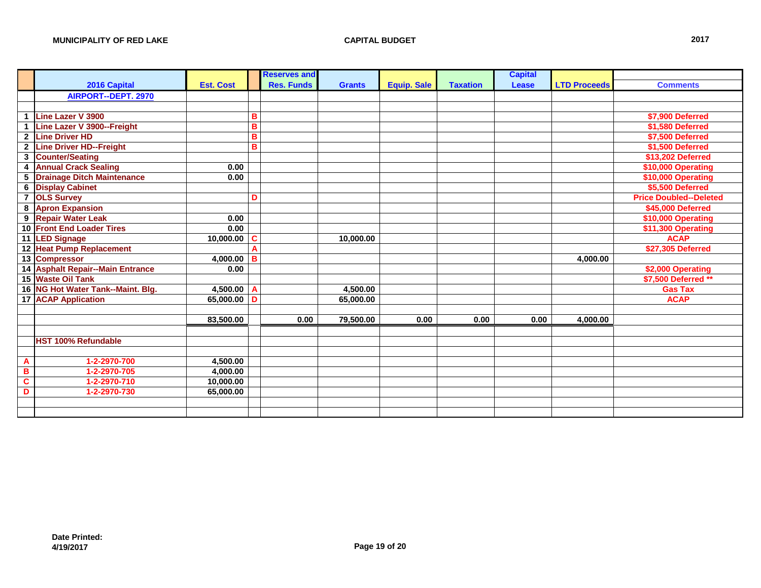|                         |                                   |                  |   | <b>Reserves and</b> |               |                    |                 | <b>Capital</b> |                     |                               |
|-------------------------|-----------------------------------|------------------|---|---------------------|---------------|--------------------|-----------------|----------------|---------------------|-------------------------------|
|                         | 2016 Capital                      | <b>Est. Cost</b> |   | <b>Res. Funds</b>   | <b>Grants</b> | <b>Equip. Sale</b> | <b>Taxation</b> | Lease          | <b>LTD Proceeds</b> | <b>Comments</b>               |
|                         | <b>AIRPORT--DEPT. 2970</b>        |                  |   |                     |               |                    |                 |                |                     |                               |
|                         |                                   |                  |   |                     |               |                    |                 |                |                     |                               |
| $\mathbf{1}$            | Line Lazer V 3900                 |                  | в |                     |               |                    |                 |                |                     | \$7,900 Deferred              |
| $\overline{\mathbf{1}}$ | Line Lazer V 3900--Freight        |                  | B |                     |               |                    |                 |                |                     | \$1,580 Deferred              |
| $\mathbf{2}$            | <b>Line Driver HD</b>             |                  | B |                     |               |                    |                 |                |                     | \$7,500 Deferred              |
| $\overline{2}$          | <b>Line Driver HD--Freight</b>    |                  | В |                     |               |                    |                 |                |                     | \$1,500 Deferred              |
| $\mathbf{3}$            | <b>Counter/Seating</b>            |                  |   |                     |               |                    |                 |                |                     | \$13,202 Deferred             |
|                         | 4 Annual Crack Sealing            | 0.00             |   |                     |               |                    |                 |                |                     | \$10,000 Operating            |
| $\sqrt{5}$              | <b>Drainage Ditch Maintenance</b> | 0.00             |   |                     |               |                    |                 |                |                     | \$10,000 Operating            |
| 6                       | <b>Display Cabinet</b>            |                  |   |                     |               |                    |                 |                |                     | \$5,500 Deferred              |
| $\overline{7}$          | <b>OLS Survey</b>                 |                  | D |                     |               |                    |                 |                |                     | <b>Price Doubled--Deleted</b> |
| 8                       | <b>Apron Expansion</b>            |                  |   |                     |               |                    |                 |                |                     | \$45,000 Deferred             |
|                         | 9 Repair Water Leak               | 0.00             |   |                     |               |                    |                 |                |                     | \$10,000 Operating            |
|                         | 10 Front End Loader Tires         | 0.00             |   |                     |               |                    |                 |                |                     | \$11,300 Operating            |
|                         | 11 LED Signage                    | 10,000.00 $ C$   |   |                     | 10,000.00     |                    |                 |                |                     | <b>ACAP</b>                   |
|                         | 12 Heat Pump Replacement          |                  | А |                     |               |                    |                 |                |                     | \$27,305 Deferred             |
|                         | 13 Compressor                     | 4,000.00 B       |   |                     |               |                    |                 |                | 4,000.00            |                               |
|                         | 14 Asphalt Repair--Main Entrance  | 0.00             |   |                     |               |                    |                 |                |                     | \$2,000 Operating             |
|                         | 15 Waste Oil Tank                 |                  |   |                     |               |                    |                 |                |                     | \$7,500 Deferred **           |
|                         | 16 NG Hot Water Tank--Maint. Blg. | 4,500.00 A       |   |                     | 4,500.00      |                    |                 |                |                     | <b>Gas Tax</b>                |
|                         | <b>17 ACAP Application</b>        | 65,000.00 D      |   |                     | 65,000.00     |                    |                 |                |                     | <b>ACAP</b>                   |
|                         |                                   |                  |   |                     |               |                    |                 |                |                     |                               |
|                         |                                   | 83,500.00        |   | 0.00                | 79,500.00     | 0.00               | 0.00            | 0.00           | 4,000.00            |                               |
|                         |                                   |                  |   |                     |               |                    |                 |                |                     |                               |
|                         | <b>HST 100% Refundable</b>        |                  |   |                     |               |                    |                 |                |                     |                               |
|                         |                                   |                  |   |                     |               |                    |                 |                |                     |                               |
| A                       | 1-2-2970-700                      | 4.500.00         |   |                     |               |                    |                 |                |                     |                               |
| $\mathbf B$             | 1-2-2970-705                      | 4,000.00         |   |                     |               |                    |                 |                |                     |                               |
| $\mathbf c$             | 1-2-2970-710                      | 10,000.00        |   |                     |               |                    |                 |                |                     |                               |
| D                       | 1-2-2970-730                      | 65,000.00        |   |                     |               |                    |                 |                |                     |                               |
|                         |                                   |                  |   |                     |               |                    |                 |                |                     |                               |
|                         |                                   |                  |   |                     |               |                    |                 |                |                     |                               |